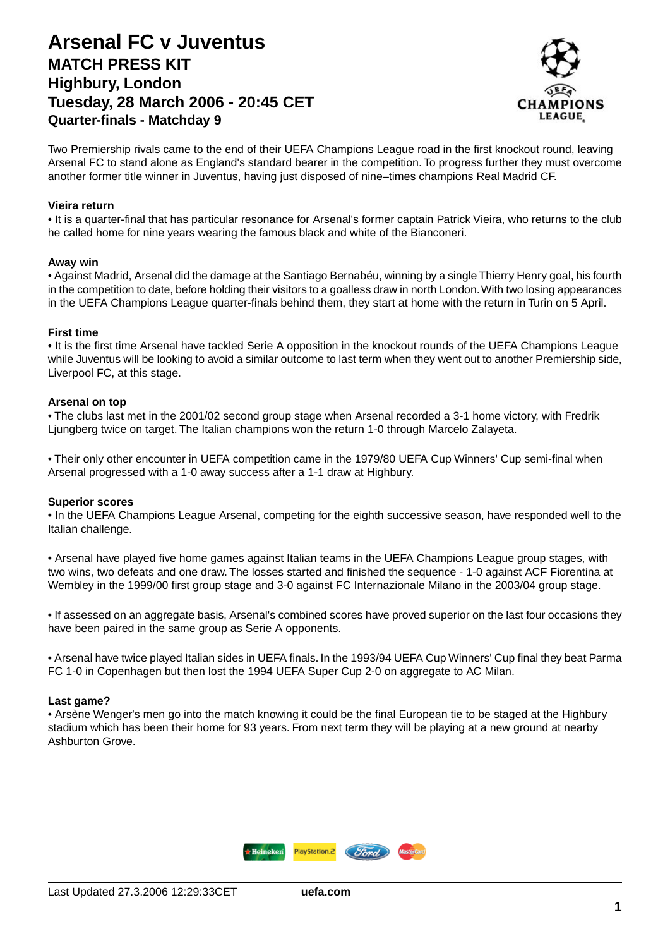## **Arsenal FC v Juventus MATCH PRESS KIT Highbury, London Tuesday, 28 March 2006 - 20:45 CET Quarter-finals - Matchday 9**



Two Premiership rivals came to the end of their UEFA Champions League road in the first knockout round, leaving Arsenal FC to stand alone as England's standard bearer in the competition. To progress further they must overcome another former title winner in Juventus, having just disposed of nine–times champions Real Madrid CF.

### **Vieira return**

• It is a quarter-final that has particular resonance for Arsenal's former captain Patrick Vieira, who returns to the club he called home for nine years wearing the famous black and white of the Bianconeri.

#### **Away win**

• Against Madrid, Arsenal did the damage at the Santiago Bernabéu, winning by a single Thierry Henry goal, his fourth in the competition to date, before holding their visitors to a goalless draw in north London.With two losing appearances in the UEFA Champions League quarter-finals behind them, they start at home with the return in Turin on 5 April.

### **First time**

• It is the first time Arsenal have tackled Serie A opposition in the knockout rounds of the UEFA Champions League while Juventus will be looking to avoid a similar outcome to last term when they went out to another Premiership side, Liverpool FC, at this stage.

### **Arsenal on top**

• The clubs last met in the 2001/02 second group stage when Arsenal recorded a 3-1 home victory, with Fredrik Ljungberg twice on target. The Italian champions won the return 1-0 through Marcelo Zalayeta.

• Their only other encounter in UEFA competition came in the 1979/80 UEFA Cup Winners' Cup semi-final when Arsenal progressed with a 1-0 away success after a 1-1 draw at Highbury.

#### **Superior scores**

• In the UEFA Champions League Arsenal, competing for the eighth successive season, have responded well to the Italian challenge.

• Arsenal have played five home games against Italian teams in the UEFA Champions League group stages, with two wins, two defeats and one draw. The losses started and finished the sequence - 1-0 against ACF Fiorentina at Wembley in the 1999/00 first group stage and 3-0 against FC Internazionale Milano in the 2003/04 group stage.

• If assessed on an aggregate basis, Arsenal's combined scores have proved superior on the last four occasions they have been paired in the same group as Serie A opponents.

• Arsenal have twice played Italian sides in UEFA finals. In the 1993/94 UEFA Cup Winners' Cup final they beat Parma FC 1-0 in Copenhagen but then lost the 1994 UEFA Super Cup 2-0 on aggregate to AC Milan.

#### **Last game?**

• Arsène Wenger's men go into the match knowing it could be the final European tie to be staged at the Highbury stadium which has been their home for 93 years. From next term they will be playing at a new ground at nearby Ashburton Grove.

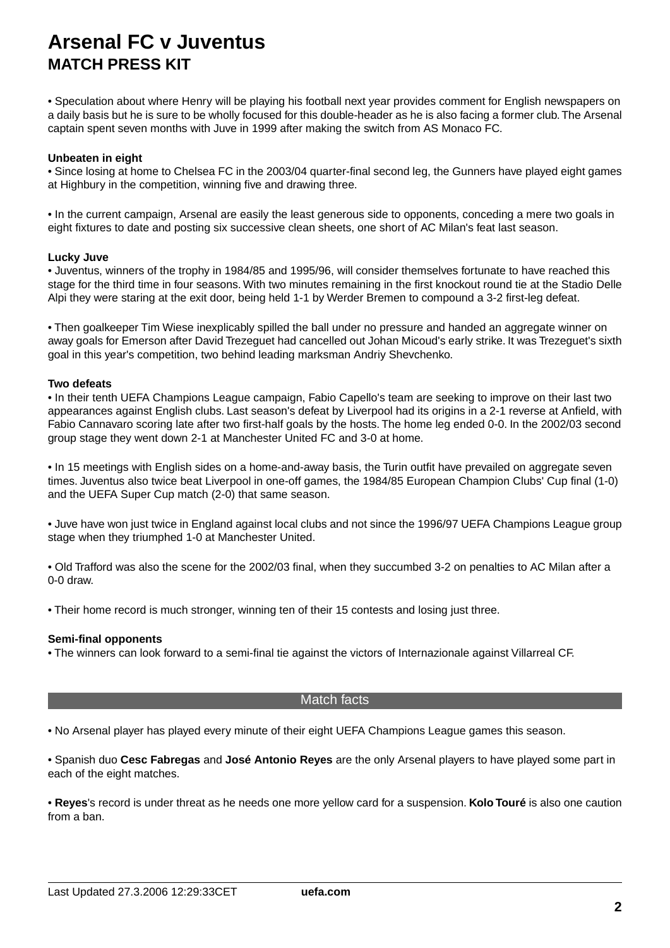• Speculation about where Henry will be playing his football next year provides comment for English newspapers on a daily basis but he is sure to be wholly focused for this double-header as he is also facing a former club.The Arsenal captain spent seven months with Juve in 1999 after making the switch from AS Monaco FC.

### **Unbeaten in eight**

• Since losing at home to Chelsea FC in the 2003/04 quarter-final second leg, the Gunners have played eight games at Highbury in the competition, winning five and drawing three.

• In the current campaign, Arsenal are easily the least generous side to opponents, conceding a mere two goals in eight fixtures to date and posting six successive clean sheets, one short of AC Milan's feat last season.

#### **Lucky Juve**

• Juventus, winners of the trophy in 1984/85 and 1995/96, will consider themselves fortunate to have reached this stage for the third time in four seasons. With two minutes remaining in the first knockout round tie at the Stadio Delle Alpi they were staring at the exit door, being held 1-1 by Werder Bremen to compound a 3-2 first-leg defeat.

• Then goalkeeper Tim Wiese inexplicably spilled the ball under no pressure and handed an aggregate winner on away goals for Emerson after David Trezeguet had cancelled out Johan Micoud's early strike. It was Trezeguet's sixth goal in this year's competition, two behind leading marksman Andriy Shevchenko.

### **Two defeats**

• In their tenth UEFA Champions League campaign, Fabio Capello's team are seeking to improve on their last two appearances against English clubs. Last season's defeat by Liverpool had its origins in a 2-1 reverse at Anfield, with Fabio Cannavaro scoring late after two first-half goals by the hosts. The home leg ended 0-0. In the 2002/03 second group stage they went down 2-1 at Manchester United FC and 3-0 at home.

• In 15 meetings with English sides on a home-and-away basis, the Turin outfit have prevailed on aggregate seven times. Juventus also twice beat Liverpool in one-off games, the 1984/85 European Champion Clubs' Cup final (1-0) and the UEFA Super Cup match (2-0) that same season.

• Juve have won just twice in England against local clubs and not since the 1996/97 UEFA Champions League group stage when they triumphed 1-0 at Manchester United.

• Old Trafford was also the scene for the 2002/03 final, when they succumbed 3-2 on penalties to AC Milan after a 0-0 draw.

• Their home record is much stronger, winning ten of their 15 contests and losing just three.

#### **Semi-final opponents**

• The winners can look forward to a semi-final tie against the victors of Internazionale against Villarreal CF.

### Match facts

• No Arsenal player has played every minute of their eight UEFA Champions League games this season.

• Spanish duo **Cesc Fabregas** and **José Antonio Reyes** are the only Arsenal players to have played some part in each of the eight matches.

• **Reyes**'s record is under threat as he needs one more yellow card for a suspension. **Kolo Touré** is also one caution from a ban.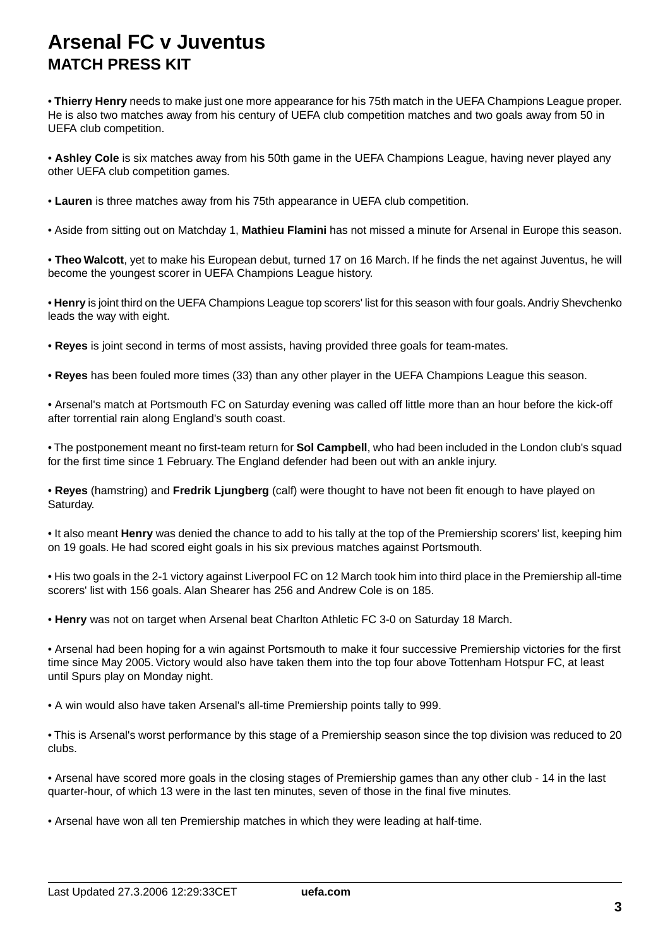• **Thierry Henry** needs to make just one more appearance for his 75th match in the UEFA Champions League proper. He is also two matches away from his century of UEFA club competition matches and two goals away from 50 in UEFA club competition.

• **Ashley Cole** is six matches away from his 50th game in the UEFA Champions League, having never played any other UEFA club competition games.

- **Lauren** is three matches away from his 75th appearance in UEFA club competition.
- Aside from sitting out on Matchday 1, **Mathieu Flamini** has not missed a minute for Arsenal in Europe this season.

• **Theo Walcott**, yet to make his European debut, turned 17 on 16 March. If he finds the net against Juventus, he will become the youngest scorer in UEFA Champions League history.

• **Henry** is joint third on the UEFA Champions League top scorers' list for this season with four goals. Andriy Shevchenko leads the way with eight.

- **Reyes** is joint second in terms of most assists, having provided three goals for team-mates.
- **Reyes** has been fouled more times (33) than any other player in the UEFA Champions League this season.
- Arsenal's match at Portsmouth FC on Saturday evening was called off little more than an hour before the kick-off after torrential rain along England's south coast.

• The postponement meant no first-team return for **Sol Campbell**, who had been included in the London club's squad for the first time since 1 February. The England defender had been out with an ankle injury.

• **Reyes** (hamstring) and **Fredrik Ljungberg** (calf) were thought to have not been fit enough to have played on Saturday.

• It also meant **Henry** was denied the chance to add to his tally at the top of the Premiership scorers' list, keeping him on 19 goals. He had scored eight goals in his six previous matches against Portsmouth.

- His two goals in the 2-1 victory against Liverpool FC on 12 March took him into third place in the Premiership all-time scorers' list with 156 goals. Alan Shearer has 256 and Andrew Cole is on 185.
- **Henry** was not on target when Arsenal beat Charlton Athletic FC 3-0 on Saturday 18 March.

• Arsenal had been hoping for a win against Portsmouth to make it four successive Premiership victories for the first time since May 2005. Victory would also have taken them into the top four above Tottenham Hotspur FC, at least until Spurs play on Monday night.

• A win would also have taken Arsenal's all-time Premiership points tally to 999.

• This is Arsenal's worst performance by this stage of a Premiership season since the top division was reduced to 20 clubs.

• Arsenal have scored more goals in the closing stages of Premiership games than any other club - 14 in the last quarter-hour, of which 13 were in the last ten minutes, seven of those in the final five minutes.

• Arsenal have won all ten Premiership matches in which they were leading at half-time.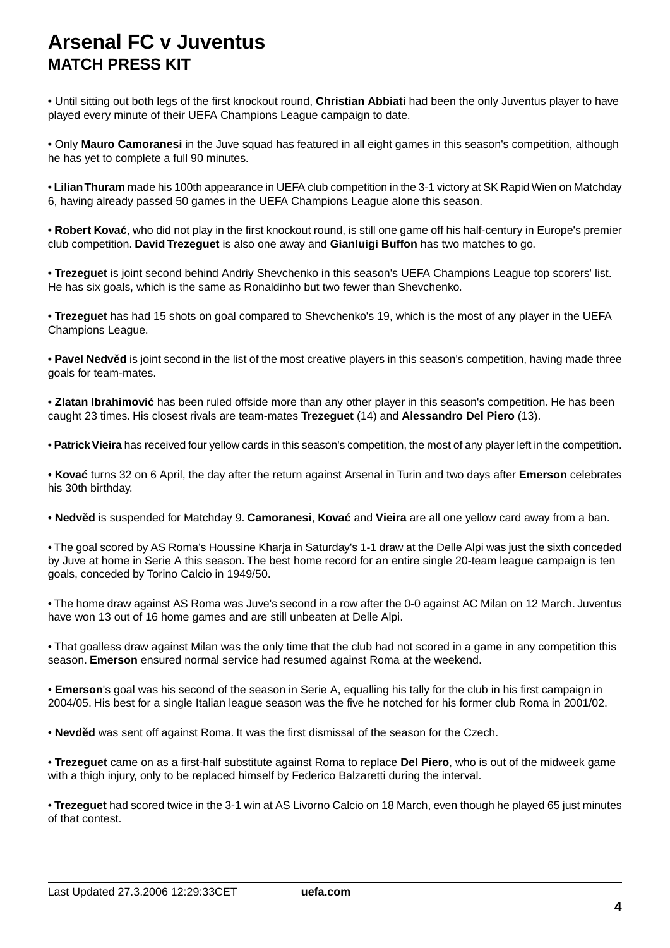• Until sitting out both legs of the first knockout round, **Christian Abbiati** had been the only Juventus player to have played every minute of their UEFA Champions League campaign to date.

• Only **Mauro Camoranesi** in the Juve squad has featured in all eight games in this season's competition, although he has yet to complete a full 90 minutes.

• **Lilian Thuram** made his 100th appearance in UEFA club competition in the 3-1 victory at SK Rapid Wien on Matchday 6, having already passed 50 games in the UEFA Champions League alone this season.

• **Robert Kova** , who did not play in the first knockout round, is still one game off his half-century in Europe's premier club competition. **David Trezeguet** is also one away and **Gianluigi Buffon** has two matches to go.

• **Trezeguet** is joint second behind Andriy Shevchenko in this season's UEFA Champions League top scorers' list. He has six goals, which is the same as Ronaldinho but two fewer than Shevchenko.

• **Trezeguet** has had 15 shots on goal compared to Shevchenko's 19, which is the most of any player in the UEFA Champions League.

• **Pavel Nedv d** is joint second in the list of the most creative players in this season's competition, having made three goals for team-mates.

• **Zlatan Ibrahimovi** has been ruled offside more than any other player in this season's competition. He has been caught 23 times. His closest rivals are team-mates **Trezeguet** (14) and **Alessandro Del Piero** (13).

• **Patrick Vieira** has received four yellow cards in this season's competition, the most of any player left in the competition.

• **Kova** turns 32 on 6 April, the day after the return against Arsenal in Turin and two days after **Emerson** celebrates his 30th birthday.

• **Nedv d** is suspended for Matchday 9. **Camoranesi**, **Kova** and **Vieira** are all one yellow card away from a ban.

• The goal scored by AS Roma's Houssine Kharja in Saturday's 1-1 draw at the Delle Alpi was just the sixth conceded by Juve at home in Serie A this season. The best home record for an entire single 20-team league campaign is ten goals, conceded by Torino Calcio in 1949/50.

• The home draw against AS Roma was Juve's second in a row after the 0-0 against AC Milan on 12 March. Juventus have won 13 out of 16 home games and are still unbeaten at Delle Alpi.

• That goalless draw against Milan was the only time that the club had not scored in a game in any competition this season. **Emerson** ensured normal service had resumed against Roma at the weekend.

• **Emerson**'s goal was his second of the season in Serie A, equalling his tally for the club in his first campaign in 2004/05. His best for a single Italian league season was the five he notched for his former club Roma in 2001/02.

• **Nevd d** was sent off against Roma. It was the first dismissal of the season for the Czech.

• **Trezeguet** came on as a first-half substitute against Roma to replace **Del Piero**, who is out of the midweek game with a thigh injury, only to be replaced himself by Federico Balzaretti during the interval.

• **Trezeguet** had scored twice in the 3-1 win at AS Livorno Calcio on 18 March, even though he played 65 just minutes of that contest.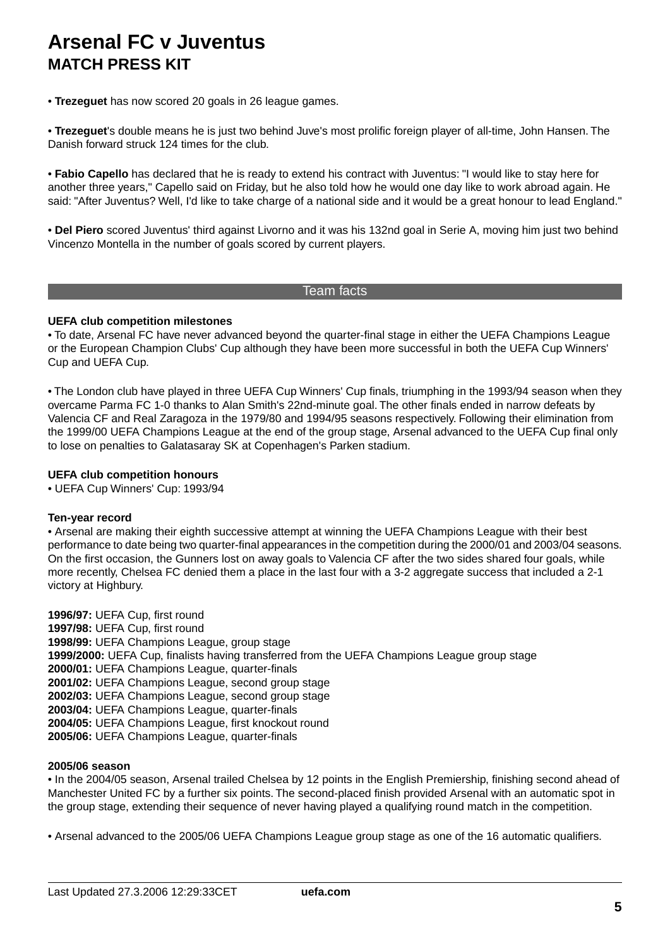• **Trezeguet** has now scored 20 goals in 26 league games.

• **Trezeguet**'s double means he is just two behind Juve's most prolific foreign player of all-time, John Hansen. The Danish forward struck 124 times for the club.

• **Fabio Capello** has declared that he is ready to extend his contract with Juventus: "I would like to stay here for another three years," Capello said on Friday, but he also told how he would one day like to work abroad again. He said: "After Juventus? Well, I'd like to take charge of a national side and it would be a great honour to lead England."

• **Del Piero** scored Juventus' third against Livorno and it was his 132nd goal in Serie A, moving him just two behind Vincenzo Montella in the number of goals scored by current players.

## Team facts

### **UEFA club competition milestones**

• To date, Arsenal FC have never advanced beyond the quarter-final stage in either the UEFA Champions League or the European Champion Clubs' Cup although they have been more successful in both the UEFA Cup Winners' Cup and UEFA Cup.

• The London club have played in three UEFA Cup Winners' Cup finals, triumphing in the 1993/94 season when they overcame Parma FC 1-0 thanks to Alan Smith's 22nd-minute goal. The other finals ended in narrow defeats by Valencia CF and Real Zaragoza in the 1979/80 and 1994/95 seasons respectively. Following their elimination from the 1999/00 UEFA Champions League at the end of the group stage, Arsenal advanced to the UEFA Cup final only to lose on penalties to Galatasaray SK at Copenhagen's Parken stadium.

## **UEFA club competition honours**

• UEFA Cup Winners' Cup: 1993/94

#### **Ten-year record**

• Arsenal are making their eighth successive attempt at winning the UEFA Champions League with their best performance to date being two quarter-final appearances in the competition during the 2000/01 and 2003/04 seasons. On the first occasion, the Gunners lost on away goals to Valencia CF after the two sides shared four goals, while more recently, Chelsea FC denied them a place in the last four with a 3-2 aggregate success that included a 2-1 victory at Highbury.

**1996/97:** UEFA Cup, first round **1997/98:** UEFA Cup, first round **1998/99:** UEFA Champions League, group stage **1999/2000:** UEFA Cup, finalists having transferred from the UEFA Champions League group stage **2000/01:** UEFA Champions League, quarter-finals **2001/02:** UEFA Champions League, second group stage **2002/03:** UEFA Champions League, second group stage **2003/04:** UEFA Champions League, quarter-finals **2004/05:** UEFA Champions League, first knockout round **2005/06:** UEFA Champions League, quarter-finals

## **2005/06 season**

• In the 2004/05 season, Arsenal trailed Chelsea by 12 points in the English Premiership, finishing second ahead of Manchester United FC by a further six points. The second-placed finish provided Arsenal with an automatic spot in the group stage, extending their sequence of never having played a qualifying round match in the competition.

• Arsenal advanced to the 2005/06 UEFA Champions League group stage as one of the 16 automatic qualifiers.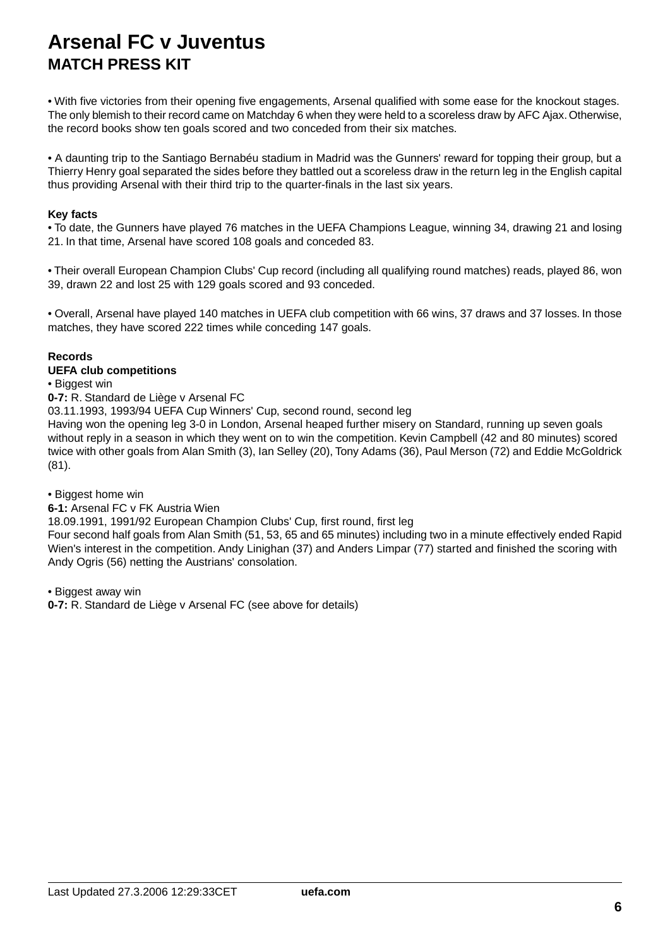• With five victories from their opening five engagements, Arsenal qualified with some ease for the knockout stages. The only blemish to their record came on Matchday 6 when they were held to a scoreless draw by AFC Ajax. Otherwise, the record books show ten goals scored and two conceded from their six matches.

• A daunting trip to the Santiago Bernabéu stadium in Madrid was the Gunners' reward for topping their group, but a Thierry Henry goal separated the sides before they battled out a scoreless draw in the return leg in the English capital thus providing Arsenal with their third trip to the quarter-finals in the last six years.

### **Key facts**

• To date, the Gunners have played 76 matches in the UEFA Champions League, winning 34, drawing 21 and losing 21. In that time, Arsenal have scored 108 goals and conceded 83.

• Their overall European Champion Clubs' Cup record (including all qualifying round matches) reads, played 86, won 39, drawn 22 and lost 25 with 129 goals scored and 93 conceded.

• Overall, Arsenal have played 140 matches in UEFA club competition with 66 wins, 37 draws and 37 losses. In those matches, they have scored 222 times while conceding 147 goals.

## **Records**

### **UEFA club competitions**

• Biggest win

**0-7:** R. Standard de Liège v Arsenal FC

03.11.1993, 1993/94 UEFA Cup Winners' Cup, second round, second leg

Having won the opening leg 3-0 in London, Arsenal heaped further misery on Standard, running up seven goals without reply in a season in which they went on to win the competition. Kevin Campbell (42 and 80 minutes) scored twice with other goals from Alan Smith (3), Ian Selley (20), Tony Adams (36), Paul Merson (72) and Eddie McGoldrick (81).

• Biggest home win

## **6-1:** Arsenal FC v FK Austria Wien

18.09.1991, 1991/92 European Champion Clubs' Cup, first round, first leg

Four second half goals from Alan Smith (51, 53, 65 and 65 minutes) including two in a minute effectively ended Rapid Wien's interest in the competition. Andy Linighan (37) and Anders Limpar (77) started and finished the scoring with Andy Ogris (56) netting the Austrians' consolation.

• Biggest away win

**0-7:** R. Standard de Liège v Arsenal FC (see above for details)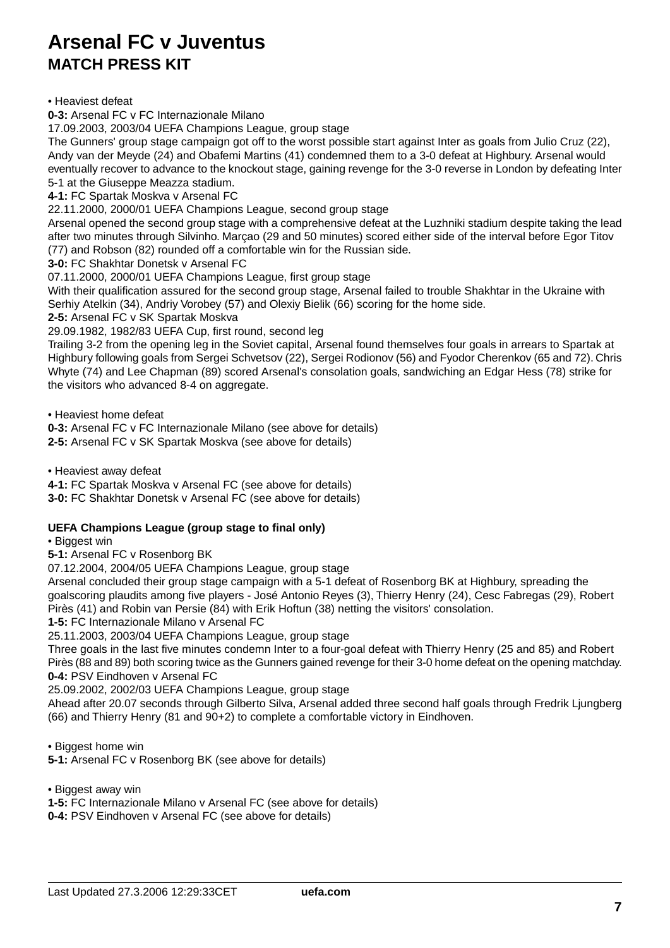• Heaviest defeat

**0-3:** Arsenal FC v FC Internazionale Milano

17.09.2003, 2003/04 UEFA Champions League, group stage

The Gunners' group stage campaign got off to the worst possible start against Inter as goals from Julio Cruz (22), Andy van der Meyde (24) and Obafemi Martins (41) condemned them to a 3-0 defeat at Highbury. Arsenal would eventually recover to advance to the knockout stage, gaining revenge for the 3-0 reverse in London by defeating Inter 5-1 at the Giuseppe Meazza stadium.

**4-1:** FC Spartak Moskva v Arsenal FC

22.11.2000, 2000/01 UEFA Champions League, second group stage

Arsenal opened the second group stage with a comprehensive defeat at the Luzhniki stadium despite taking the lead after two minutes through Silvinho. Marçao (29 and 50 minutes) scored either side of the interval before Egor Titov (77) and Robson (82) rounded off a comfortable win for the Russian side.

**3-0:** FC Shakhtar Donetsk v Arsenal FC

07.11.2000, 2000/01 UEFA Champions League, first group stage

With their qualification assured for the second group stage, Arsenal failed to trouble Shakhtar in the Ukraine with Serhiy Atelkin (34), Andriy Vorobey (57) and Olexiy Bielik (66) scoring for the home side.

**2-5:** Arsenal FC v SK Spartak Moskva

29.09.1982, 1982/83 UEFA Cup, first round, second leg

Trailing 3-2 from the opening leg in the Soviet capital, Arsenal found themselves four goals in arrears to Spartak at Highbury following goals from Sergei Schvetsov (22), Sergei Rodionov (56) and Fyodor Cherenkov (65 and 72). Chris Whyte (74) and Lee Chapman (89) scored Arsenal's consolation goals, sandwiching an Edgar Hess (78) strike for the visitors who advanced 8-4 on aggregate.

• Heaviest home defeat

**0-3:** Arsenal FC v FC Internazionale Milano (see above for details)

**2-5:** Arsenal FC v SK Spartak Moskva (see above for details)

• Heaviest away defeat

**4-1:** FC Spartak Moskva v Arsenal FC (see above for details)

**3-0:** FC Shakhtar Donetsk v Arsenal FC (see above for details)

## **UEFA Champions League (group stage to final only)**

• Biggest win

**5-1:** Arsenal FC v Rosenborg BK

07.12.2004, 2004/05 UEFA Champions League, group stage

Arsenal concluded their group stage campaign with a 5-1 defeat of Rosenborg BK at Highbury, spreading the goalscoring plaudits among five players - José Antonio Reyes (3), Thierry Henry (24), Cesc Fabregas (29), Robert Pirès (41) and Robin van Persie (84) with Erik Hoftun (38) netting the visitors' consolation.

**1-5:** FC Internazionale Milano v Arsenal FC

25.11.2003, 2003/04 UEFA Champions League, group stage

Three goals in the last five minutes condemn Inter to a four-goal defeat with Thierry Henry (25 and 85) and Robert Pirès (88 and 89) both scoring twice as the Gunners gained revenge for their 3-0 home defeat on the opening matchday. **0-4:** PSV Eindhoven v Arsenal FC

25.09.2002, 2002/03 UEFA Champions League, group stage

Ahead after 20.07 seconds through Gilberto Silva, Arsenal added three second half goals through Fredrik Ljungberg (66) and Thierry Henry (81 and 90+2) to complete a comfortable victory in Eindhoven.

• Biggest home win

**5-1:** Arsenal FC v Rosenborg BK (see above for details)

• Biggest away win

**1-5:** FC Internazionale Milano v Arsenal FC (see above for details)

**0-4:** PSV Eindhoven v Arsenal FC (see above for details)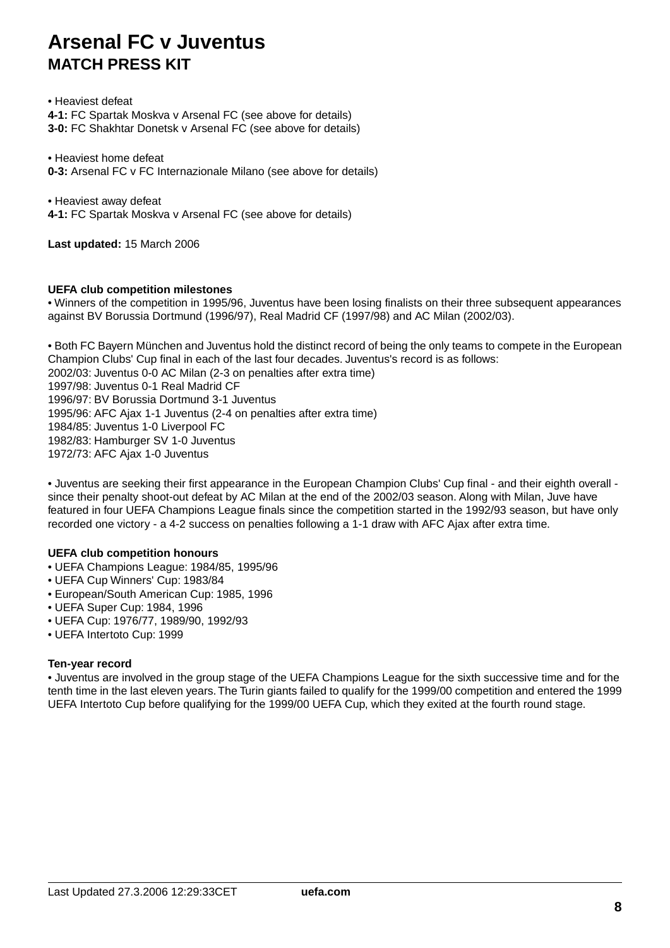• Heaviest defeat **4-1:** FC Spartak Moskva v Arsenal FC (see above for details) **3-0:** FC Shakhtar Donetsk v Arsenal FC (see above for details)

• Heaviest home defeat **0-3:** Arsenal FC v FC Internazionale Milano (see above for details)

• Heaviest away defeat

**4-1:** FC Spartak Moskva v Arsenal FC (see above for details)

**Last updated:** 15 March 2006

### **UEFA club competition milestones**

• Winners of the competition in 1995/96, Juventus have been losing finalists on their three subsequent appearances against BV Borussia Dortmund (1996/97), Real Madrid CF (1997/98) and AC Milan (2002/03).

• Both FC Bayern München and Juventus hold the distinct record of being the only teams to compete in the European Champion Clubs' Cup final in each of the last four decades. Juventus's record is as follows:

2002/03: Juventus 0-0 AC Milan (2-3 on penalties after extra time)

1997/98: Juventus 0-1 Real Madrid CF 1996/97: BV Borussia Dortmund 3-1 Juventus 1995/96: AFC Ajax 1-1 Juventus (2-4 on penalties after extra time) 1984/85: Juventus 1-0 Liverpool FC 1982/83: Hamburger SV 1-0 Juventus 1972/73: AFC Ajax 1-0 Juventus

• Juventus are seeking their first appearance in the European Champion Clubs' Cup final - and their eighth overall since their penalty shoot-out defeat by AC Milan at the end of the 2002/03 season. Along with Milan, Juve have featured in four UEFA Champions League finals since the competition started in the 1992/93 season, but have only recorded one victory - a 4-2 success on penalties following a 1-1 draw with AFC Ajax after extra time.

#### **UEFA club competition honours**

- UEFA Champions League: 1984/85, 1995/96
- UEFA Cup Winners' Cup: 1983/84
- European/South American Cup: 1985, 1996
- UEFA Super Cup: 1984, 1996
- UEFA Cup: 1976/77, 1989/90, 1992/93
- UEFA Intertoto Cup: 1999

#### **Ten-year record**

• Juventus are involved in the group stage of the UEFA Champions League for the sixth successive time and for the tenth time in the last eleven years.The Turin giants failed to qualify for the 1999/00 competition and entered the 1999 UEFA Intertoto Cup before qualifying for the 1999/00 UEFA Cup, which they exited at the fourth round stage.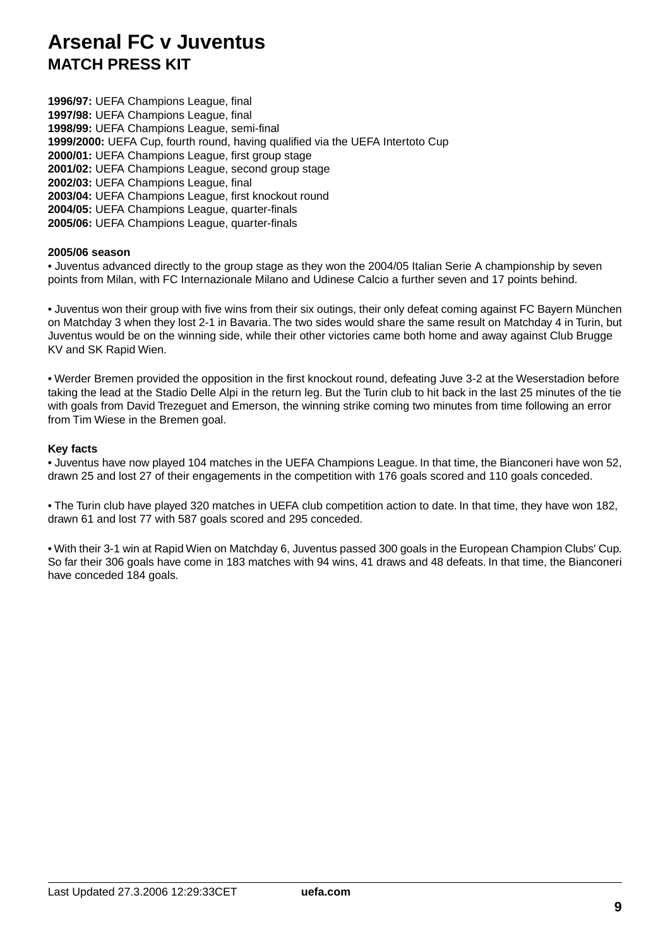**1996/97:** UEFA Champions League, final **1997/98:** UEFA Champions League, final **1998/99:** UEFA Champions League, semi-final **1999/2000:** UEFA Cup, fourth round, having qualified via the UEFA Intertoto Cup **2000/01:** UEFA Champions League, first group stage **2001/02:** UEFA Champions League, second group stage **2002/03:** UEFA Champions League, final **2003/04:** UEFA Champions League, first knockout round **2004/05:** UEFA Champions League, quarter-finals **2005/06:** UEFA Champions League, quarter-finals

#### **2005/06 season**

• Juventus advanced directly to the group stage as they won the 2004/05 Italian Serie A championship by seven points from Milan, with FC Internazionale Milano and Udinese Calcio a further seven and 17 points behind.

• Juventus won their group with five wins from their six outings, their only defeat coming against FC Bayern München on Matchday 3 when they lost 2-1 in Bavaria. The two sides would share the same result on Matchday 4 in Turin, but Juventus would be on the winning side, while their other victories came both home and away against Club Brugge KV and SK Rapid Wien.

• Werder Bremen provided the opposition in the first knockout round, defeating Juve 3-2 at the Weserstadion before taking the lead at the Stadio Delle Alpi in the return leg. But the Turin club to hit back in the last 25 minutes of the tie with goals from David Trezeguet and Emerson, the winning strike coming two minutes from time following an error from Tim Wiese in the Bremen goal.

### **Key facts**

• Juventus have now played 104 matches in the UEFA Champions League. In that time, the Bianconeri have won 52, drawn 25 and lost 27 of their engagements in the competition with 176 goals scored and 110 goals conceded.

• The Turin club have played 320 matches in UEFA club competition action to date. In that time, they have won 182, drawn 61 and lost 77 with 587 goals scored and 295 conceded.

• With their 3-1 win at Rapid Wien on Matchday 6, Juventus passed 300 goals in the European Champion Clubs' Cup. So far their 306 goals have come in 183 matches with 94 wins, 41 draws and 48 defeats. In that time, the Bianconeri have conceded 184 goals.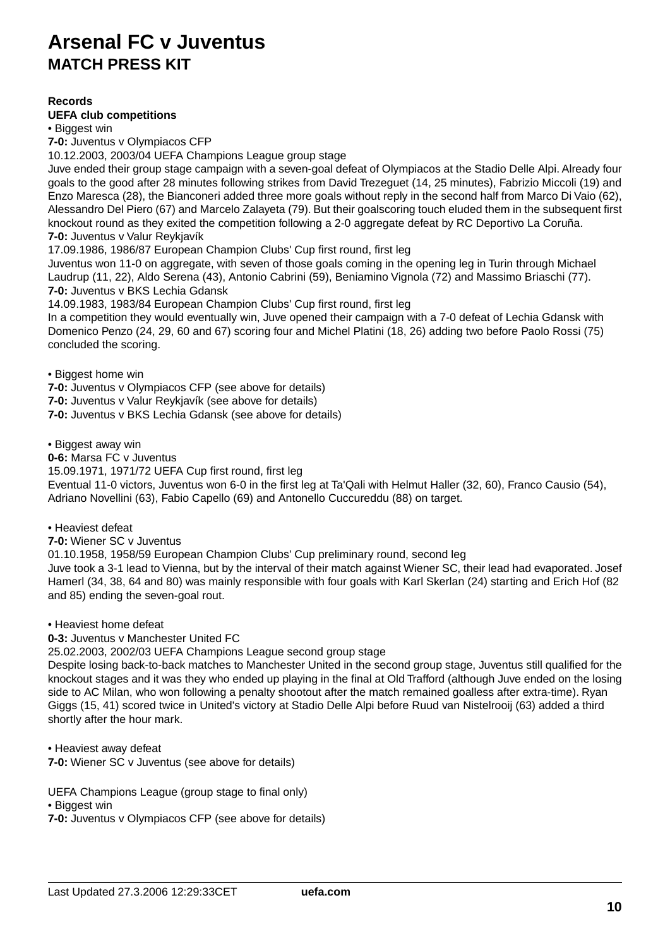## **Records**

### **UEFA club competitions**

• Biggest win

**7-0:** Juventus v Olympiacos CFP

10.12.2003, 2003/04 UEFA Champions League group stage

Juve ended their group stage campaign with a seven-goal defeat of Olympiacos at the Stadio Delle Alpi. Already four goals to the good after 28 minutes following strikes from David Trezeguet (14, 25 minutes), Fabrizio Miccoli (19) and Enzo Maresca (28), the Bianconeri added three more goals without reply in the second half from Marco Di Vaio (62), Alessandro Del Piero (67) and Marcelo Zalayeta (79). But their goalscoring touch eluded them in the subsequent first knockout round as they exited the competition following a 2-0 aggregate defeat by RC Deportivo La Coruña. **7-0:** Juventus v Valur Reykjavík

17.09.1986, 1986/87 European Champion Clubs' Cup first round, first leg

Juventus won 11-0 on aggregate, with seven of those goals coming in the opening leg in Turin through Michael Laudrup (11, 22), Aldo Serena (43), Antonio Cabrini (59), Beniamino Vignola (72) and Massimo Briaschi (77). **7-0:** Juventus v BKS Lechia Gdansk

14.09.1983, 1983/84 European Champion Clubs' Cup first round, first leg

In a competition they would eventually win, Juve opened their campaign with a 7-0 defeat of Lechia Gdansk with Domenico Penzo (24, 29, 60 and 67) scoring four and Michel Platini (18, 26) adding two before Paolo Rossi (75) concluded the scoring.

• Biggest home win

**7-0:** Juventus v Olympiacos CFP (see above for details)

**7-0:** Juventus v Valur Reykjavík (see above for details)

**7-0:** Juventus v BKS Lechia Gdansk (see above for details)

• Biggest away win

**0-6:** Marsa FC v Juventus

15.09.1971, 1971/72 UEFA Cup first round, first leg

Eventual 11-0 victors, Juventus won 6-0 in the first leg at Ta'Qali with Helmut Haller (32, 60), Franco Causio (54), Adriano Novellini (63), Fabio Capello (69) and Antonello Cuccureddu (88) on target.

• Heaviest defeat

**7-0:** Wiener SC v Juventus

01.10.1958, 1958/59 European Champion Clubs' Cup preliminary round, second leg

Juve took a 3-1 lead to Vienna, but by the interval of their match against Wiener SC, their lead had evaporated. Josef Hamerl (34, 38, 64 and 80) was mainly responsible with four goals with Karl Skerlan (24) starting and Erich Hof (82 and 85) ending the seven-goal rout.

• Heaviest home defeat

**0-3:** Juventus v Manchester United FC

25.02.2003, 2002/03 UEFA Champions League second group stage

Despite losing back-to-back matches to Manchester United in the second group stage, Juventus still qualified for the knockout stages and it was they who ended up playing in the final at Old Trafford (although Juve ended on the losing side to AC Milan, who won following a penalty shootout after the match remained goalless after extra-time). Ryan Giggs (15, 41) scored twice in United's victory at Stadio Delle Alpi before Ruud van Nistelrooij (63) added a third shortly after the hour mark.

• Heaviest away defeat

**7-0:** Wiener SC v Juventus (see above for details)

UEFA Champions League (group stage to final only)

• Biggest win

**7-0:** Juventus v Olympiacos CFP (see above for details)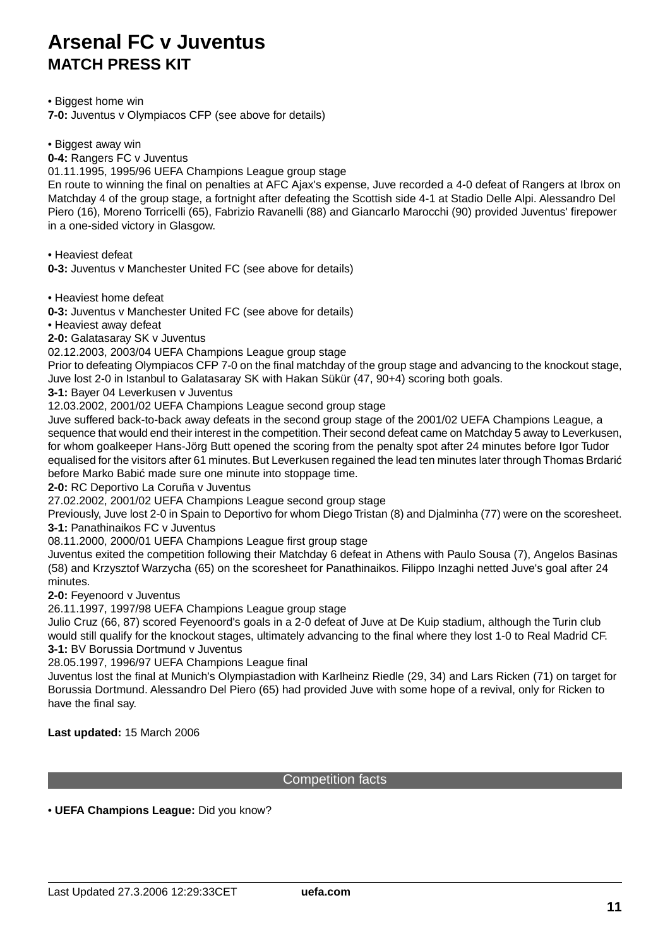• Biggest home win

**7-0:** Juventus v Olympiacos CFP (see above for details)

• Biggest away win

**0-4:** Rangers FC v Juventus

01.11.1995, 1995/96 UEFA Champions League group stage

En route to winning the final on penalties at AFC Ajax's expense, Juve recorded a 4-0 defeat of Rangers at Ibrox on Matchday 4 of the group stage, a fortnight after defeating the Scottish side 4-1 at Stadio Delle Alpi. Alessandro Del Piero (16), Moreno Torricelli (65), Fabrizio Ravanelli (88) and Giancarlo Marocchi (90) provided Juventus' firepower in a one-sided victory in Glasgow.

• Heaviest defeat

**0-3:** Juventus v Manchester United FC (see above for details)

• Heaviest home defeat

**0-3:** Juventus v Manchester United FC (see above for details)

• Heaviest away defeat

**2-0:** Galatasaray SK v Juventus

02.12.2003, 2003/04 UEFA Champions League group stage

Prior to defeating Olympiacos CFP 7-0 on the final matchday of the group stage and advancing to the knockout stage, Juve lost 2-0 in Istanbul to Galatasaray SK with Hakan Sükür (47, 90+4) scoring both goals.

**3-1:** Bayer 04 Leverkusen v Juventus

12.03.2002, 2001/02 UEFA Champions League second group stage

Juve suffered back-to-back away defeats in the second group stage of the 2001/02 UEFA Champions League, a sequence that would end their interest in the competition. Their second defeat came on Matchday 5 away to Leverkusen, for whom goalkeeper Hans-Jörg Butt opened the scoring from the penalty spot after 24 minutes before Igor Tudor equalised for the visitors after 61 minutes. But Leverkusen regained the lead ten minutes later through Thomas Brdari before Marko Babi made sure one minute into stoppage time.

**2-0:** RC Deportivo La Coruña v Juventus

27.02.2002, 2001/02 UEFA Champions League second group stage

Previously, Juve lost 2-0 in Spain to Deportivo for whom Diego Tristan (8) and Djalminha (77) were on the scoresheet. **3-1:** Panathinaikos FC v Juventus

08.11.2000, 2000/01 UEFA Champions League first group stage

Juventus exited the competition following their Matchday 6 defeat in Athens with Paulo Sousa (7), Angelos Basinas (58) and Krzysztof Warzycha (65) on the scoresheet for Panathinaikos. Filippo Inzaghi netted Juve's goal after 24 minutes.

**2-0:** Feyenoord v Juventus

26.11.1997, 1997/98 UEFA Champions League group stage

Julio Cruz (66, 87) scored Feyenoord's goals in a 2-0 defeat of Juve at De Kuip stadium, although the Turin club would still qualify for the knockout stages, ultimately advancing to the final where they lost 1-0 to Real Madrid CF. **3-1:** BV Borussia Dortmund v Juventus

28.05.1997, 1996/97 UEFA Champions League final

Juventus lost the final at Munich's Olympiastadion with Karlheinz Riedle (29, 34) and Lars Ricken (71) on target for Borussia Dortmund. Alessandro Del Piero (65) had provided Juve with some hope of a revival, only for Ricken to have the final say.

**Last updated:** 15 March 2006

### Competition facts

• **UEFA Champions League:** Did you know?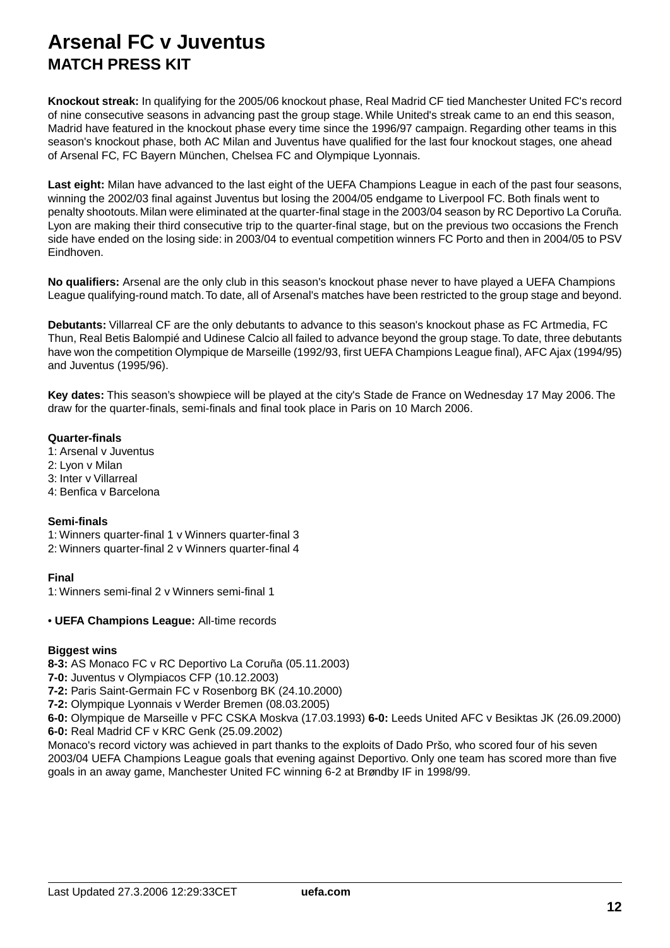**Knockout streak:** In qualifying for the 2005/06 knockout phase, Real Madrid CF tied Manchester United FC's record of nine consecutive seasons in advancing past the group stage. While United's streak came to an end this season, Madrid have featured in the knockout phase every time since the 1996/97 campaign. Regarding other teams in this season's knockout phase, both AC Milan and Juventus have qualified for the last four knockout stages, one ahead of Arsenal FC, FC Bayern München, Chelsea FC and Olympique Lyonnais.

**Last eight:** Milan have advanced to the last eight of the UEFA Champions League in each of the past four seasons, winning the 2002/03 final against Juventus but losing the 2004/05 endgame to Liverpool FC. Both finals went to penalty shootouts. Milan were eliminated at the quarter-final stage in the 2003/04 season by RC Deportivo La Coruña. Lyon are making their third consecutive trip to the quarter-final stage, but on the previous two occasions the French side have ended on the losing side: in 2003/04 to eventual competition winners FC Porto and then in 2004/05 to PSV Eindhoven.

**No qualifiers:** Arsenal are the only club in this season's knockout phase never to have played a UEFA Champions League qualifying-round match.To date, all of Arsenal's matches have been restricted to the group stage and beyond.

**Debutants:** Villarreal CF are the only debutants to advance to this season's knockout phase as FC Artmedia, FC Thun, Real Betis Balompié and Udinese Calcio all failed to advance beyond the group stage.To date, three debutants have won the competition Olympique de Marseille (1992/93, first UEFA Champions League final), AFC Ajax (1994/95) and Juventus (1995/96).

**Key dates:** This season's showpiece will be played at the city's Stade de France on Wednesday 17 May 2006. The draw for the quarter-finals, semi-finals and final took place in Paris on 10 March 2006.

### **Quarter-finals**

- 1: Arsenal v Juventus
- 2: Lyon v Milan 3: Inter v Villarreal
- 4: Benfica v Barcelona

## **Semi-finals**

1: Winners quarter-final 1 v Winners quarter-final 3 2: Winners quarter-final 2 v Winners quarter-final 4

## **Final**

1: Winners semi-final 2 v Winners semi-final 1

## • **UEFA Champions League:** All-time records

## **Biggest wins**

**8-3:** AS Monaco FC v RC Deportivo La Coruña (05.11.2003)

**7-0:** Juventus v Olympiacos CFP (10.12.2003)

**7-2:** Paris Saint-Germain FC v Rosenborg BK (24.10.2000)

**7-2:** Olympique Lyonnais v Werder Bremen (08.03.2005)

**6-0:** Olympique de Marseille v PFC CSKA Moskva (17.03.1993) **6-0:** Leeds United AFC v Besiktas JK (26.09.2000) **6-0:** Real Madrid CF v KRC Genk (25.09.2002)

Monaco's record victory was achieved in part thanks to the exploits of Dado Pršo, who scored four of his seven 2003/04 UEFA Champions League goals that evening against Deportivo. Only one team has scored more than five goals in an away game, Manchester United FC winning 6-2 at Brøndby IF in 1998/99.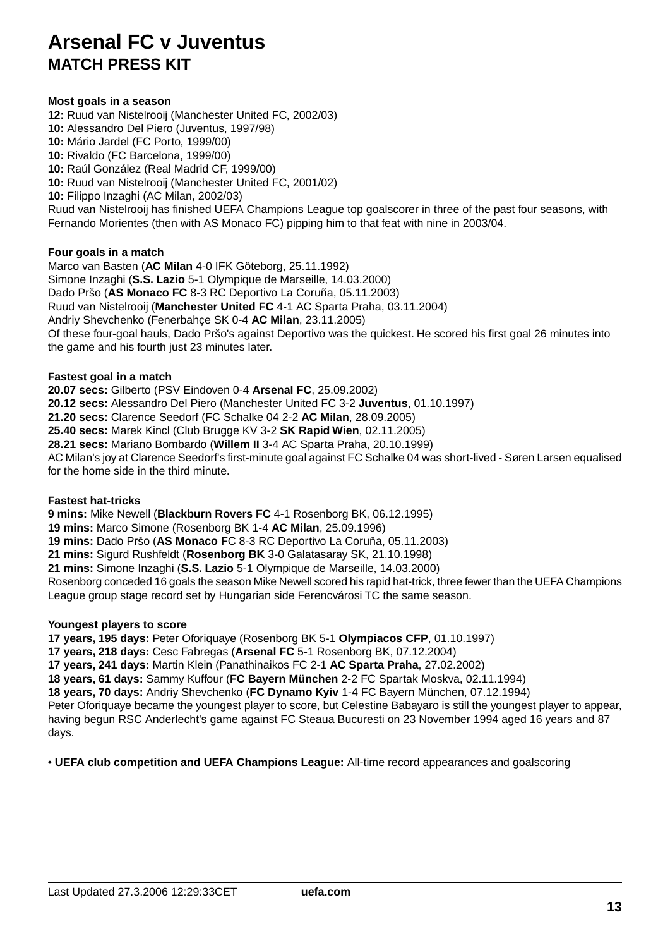## **Most goals in a season**

**12:** Ruud van Nistelrooij (Manchester United FC, 2002/03)

- **10:** Alessandro Del Piero (Juventus, 1997/98)
- **10:** Mário Jardel (FC Porto, 1999/00)
- **10:** Rivaldo (FC Barcelona, 1999/00)
- **10:** Raúl González (Real Madrid CF, 1999/00)
- **10:** Ruud van Nistelrooij (Manchester United FC, 2001/02)
- **10:** Filippo Inzaghi (AC Milan, 2002/03)

Ruud van Nistelrooij has finished UEFA Champions League top goalscorer in three of the past four seasons, with Fernando Morientes (then with AS Monaco FC) pipping him to that feat with nine in 2003/04.

## **Four goals in a match**

Marco van Basten (**AC Milan** 4-0 IFK Göteborg, 25.11.1992) Simone Inzaghi (**S.S. Lazio** 5-1 Olympique de Marseille, 14.03.2000) Dado Pršo (**AS Monaco FC** 8-3 RC Deportivo La Coruña, 05.11.2003) Ruud van Nistelrooij (**Manchester United FC** 4-1 AC Sparta Praha, 03.11.2004) Andriy Shevchenko (Fenerbahçe SK 0-4 **AC Milan**, 23.11.2005) Of these four-goal hauls, Dado Pršo's against Deportivo was the quickest. He scored his first goal 26 minutes into the game and his fourth just 23 minutes later.

## **Fastest goal in a match**

**20.07 secs:** Gilberto (PSV Eindoven 0-4 **Arsenal FC**, 25.09.2002)

**20.12 secs:** Alessandro Del Piero (Manchester United FC 3-2 **Juventus**, 01.10.1997)

**21.20 secs:** Clarence Seedorf (FC Schalke 04 2-2 **AC Milan**, 28.09.2005)

**25.40 secs:** Marek Kincl (Club Brugge KV 3-2 **SK Rapid Wien**, 02.11.2005)

**28.21 secs:** Mariano Bombardo (**Willem II** 3-4 AC Sparta Praha, 20.10.1999)

AC Milan's joy at Clarence Seedorf's first-minute goal against FC Schalke 04 was short-lived - Søren Larsen equalised for the home side in the third minute.

## **Fastest hat-tricks**

**9 mins:** Mike Newell (**Blackburn Rovers FC** 4-1 Rosenborg BK, 06.12.1995)

**19 mins:** Marco Simone (Rosenborg BK 1-4 **AC Milan**, 25.09.1996)

**19 mins:** Dado Pršo (**AS Monaco F**C 8-3 RC Deportivo La Coruña, 05.11.2003)

**21 mins:** Sigurd Rushfeldt (**Rosenborg BK** 3-0 Galatasaray SK, 21.10.1998)

**21 mins:** Simone Inzaghi (**S.S. Lazio** 5-1 Olympique de Marseille, 14.03.2000)

Rosenborg conceded 16 goals the season Mike Newell scored his rapid hat-trick, three fewer than the UEFA Champions League group stage record set by Hungarian side Ferencvárosi TC the same season.

## **Youngest players to score**

**17 years, 195 days:** Peter Oforiquaye (Rosenborg BK 5-1 **Olympiacos CFP**, 01.10.1997)

**17 years, 218 days:** Cesc Fabregas (**Arsenal FC** 5-1 Rosenborg BK, 07.12.2004)

**17 years, 241 days:** Martin Klein (Panathinaikos FC 2-1 **AC Sparta Praha**, 27.02.2002)

**18 years, 61 days:** Sammy Kuffour (**FC Bayern München** 2-2 FC Spartak Moskva, 02.11.1994)

**18 years, 70 days:** Andriy Shevchenko (**FC Dynamo Kyiv** 1-4 FC Bayern München, 07.12.1994)

Peter Oforiquaye became the youngest player to score, but Celestine Babayaro is still the youngest player to appear, having begun RSC Anderlecht's game against FC Steaua Bucuresti on 23 November 1994 aged 16 years and 87 days.

• **UEFA club competition and UEFA Champions League:** All-time record appearances and goalscoring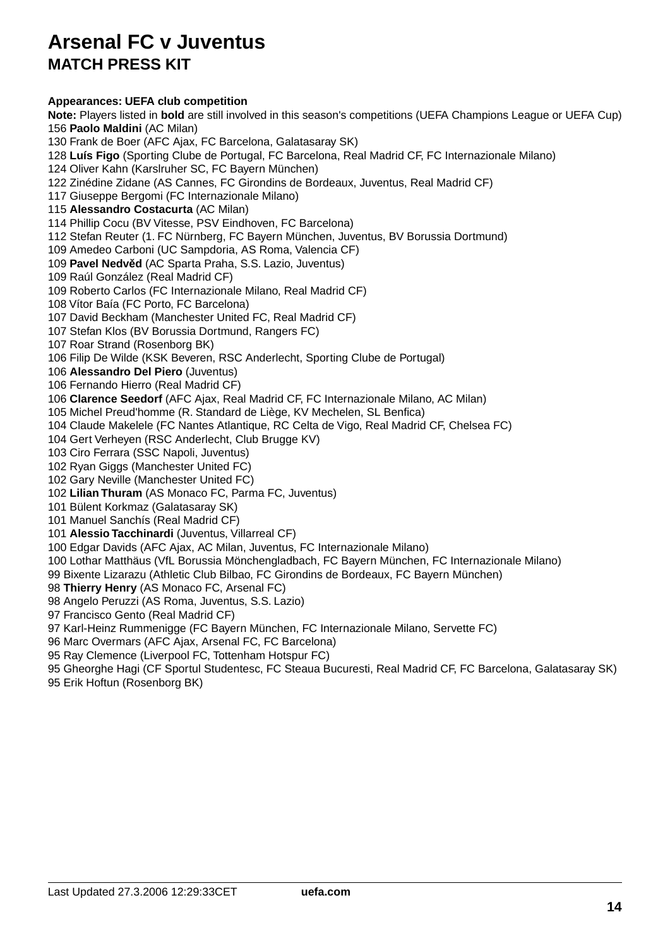### **Appearances: UEFA club competition**

**Note:** Players listed in **bold** are still involved in this season's competitions (UEFA Champions League or UEFA Cup) 156 **Paolo Maldini** (AC Milan) 130 Frank de Boer (AFC Ajax, FC Barcelona, Galatasaray SK) 128 **Luís Figo** (Sporting Clube de Portugal, FC Barcelona, Real Madrid CF, FC Internazionale Milano) 124 Oliver Kahn (Karslruher SC, FC Bayern München) 122 Zinédine Zidane (AS Cannes, FC Girondins de Bordeaux, Juventus, Real Madrid CF) 117 Giuseppe Bergomi (FC Internazionale Milano) 115 **Alessandro Costacurta** (AC Milan) 114 Phillip Cocu (BV Vitesse, PSV Eindhoven, FC Barcelona) 112 Stefan Reuter (1. FC Nürnberg, FC Bayern München, Juventus, BV Borussia Dortmund) 109 Amedeo Carboni (UC Sampdoria, AS Roma, Valencia CF) 109 **Pavel Nedv d** (AC Sparta Praha, S.S. Lazio, Juventus) 109 Raúl González (Real Madrid CF) 109 Roberto Carlos (FC Internazionale Milano, Real Madrid CF) 108 Vítor Baía (FC Porto, FC Barcelona) 107 David Beckham (Manchester United FC, Real Madrid CF) 107 Stefan Klos (BV Borussia Dortmund, Rangers FC) 107 Roar Strand (Rosenborg BK) 106 Filip De Wilde (KSK Beveren, RSC Anderlecht, Sporting Clube de Portugal) 106 **Alessandro Del Piero** (Juventus) 106 Fernando Hierro (Real Madrid CF) 106 **Clarence Seedorf** (AFC Ajax, Real Madrid CF, FC Internazionale Milano, AC Milan) 105 Michel Preud'homme (R. Standard de Liège, KV Mechelen, SL Benfica) 104 Claude Makelele (FC Nantes Atlantique, RC Celta de Vigo, Real Madrid CF, Chelsea FC) 104 Gert Verheyen (RSC Anderlecht, Club Brugge KV) 103 Ciro Ferrara (SSC Napoli, Juventus) 102 Ryan Giggs (Manchester United FC) 102 Gary Neville (Manchester United FC) 102 **Lilian Thuram** (AS Monaco FC, Parma FC, Juventus) 101 Bülent Korkmaz (Galatasaray SK) 101 Manuel Sanchís (Real Madrid CF) 101 **Alessio Tacchinardi** (Juventus, Villarreal CF) 100 Edgar Davids (AFC Ajax, AC Milan, Juventus, FC Internazionale Milano) 100 Lothar Matthäus (VfL Borussia Mönchengladbach, FC Bayern München, FC Internazionale Milano) 99 Bixente Lizarazu (Athletic Club Bilbao, FC Girondins de Bordeaux, FC Bayern München) 98 **Thierry Henry** (AS Monaco FC, Arsenal FC) 98 Angelo Peruzzi (AS Roma, Juventus, S.S. Lazio) 97 Francisco Gento (Real Madrid CF) 97 Karl-Heinz Rummenigge (FC Bayern München, FC Internazionale Milano, Servette FC) 96 Marc Overmars (AFC Ajax, Arsenal FC, FC Barcelona) 95 Ray Clemence (Liverpool FC, Tottenham Hotspur FC)

95 Gheorghe Hagi (CF Sportul Studentesc, FC Steaua Bucuresti, Real Madrid CF, FC Barcelona, Galatasaray SK)

95 Erik Hoftun (Rosenborg BK)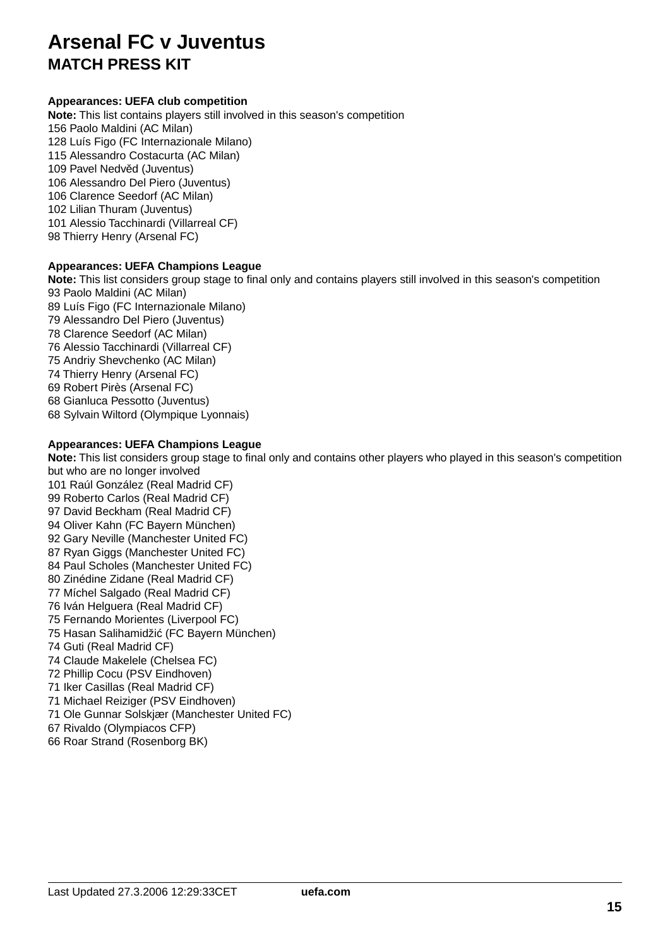## **Appearances: UEFA club competition**

**Note:** This list contains players still involved in this season's competition 156 Paolo Maldini (AC Milan) 128 Luís Figo (FC Internazionale Milano) 115 Alessandro Costacurta (AC Milan) 109 Pavel Nedv d (Juventus) 106 Alessandro Del Piero (Juventus) 106 Clarence Seedorf (AC Milan) 102 Lilian Thuram (Juventus) 101 Alessio Tacchinardi (Villarreal CF) 98 Thierry Henry (Arsenal FC)

## **Appearances: UEFA Champions League**

**Note:** This list considers group stage to final only and contains players still involved in this season's competition 93 Paolo Maldini (AC Milan) 89 Luís Figo (FC Internazionale Milano) 79 Alessandro Del Piero (Juventus) 78 Clarence Seedorf (AC Milan) 76 Alessio Tacchinardi (Villarreal CF) 75 Andriy Shevchenko (AC Milan) 74 Thierry Henry (Arsenal FC) 69 Robert Pirès (Arsenal FC) 68 Gianluca Pessotto (Juventus) 68 Sylvain Wiltord (Olympique Lyonnais)

## **Appearances: UEFA Champions League**

**Note:** This list considers group stage to final only and contains other players who played in this season's competition but who are no longer involved 101 Raúl González (Real Madrid CF) 99 Roberto Carlos (Real Madrid CF) 97 David Beckham (Real Madrid CF) 94 Oliver Kahn (FC Bayern München) 92 Gary Neville (Manchester United FC) 87 Ryan Giggs (Manchester United FC) 84 Paul Scholes (Manchester United FC) 80 Zinédine Zidane (Real Madrid CF) 77 Míchel Salgado (Real Madrid CF) 76 Iván Helguera (Real Madrid CF) 75 Fernando Morientes (Liverpool FC) 75 Hasan Salihamidži (FC Bayern München) 74 Guti (Real Madrid CF) 74 Claude Makelele (Chelsea FC) 72 Phillip Cocu (PSV Eindhoven) 71 Iker Casillas (Real Madrid CF) 71 Michael Reiziger (PSV Eindhoven) 71 Ole Gunnar Solskjær (Manchester United FC) 67 Rivaldo (Olympiacos CFP) 66 Roar Strand (Rosenborg BK)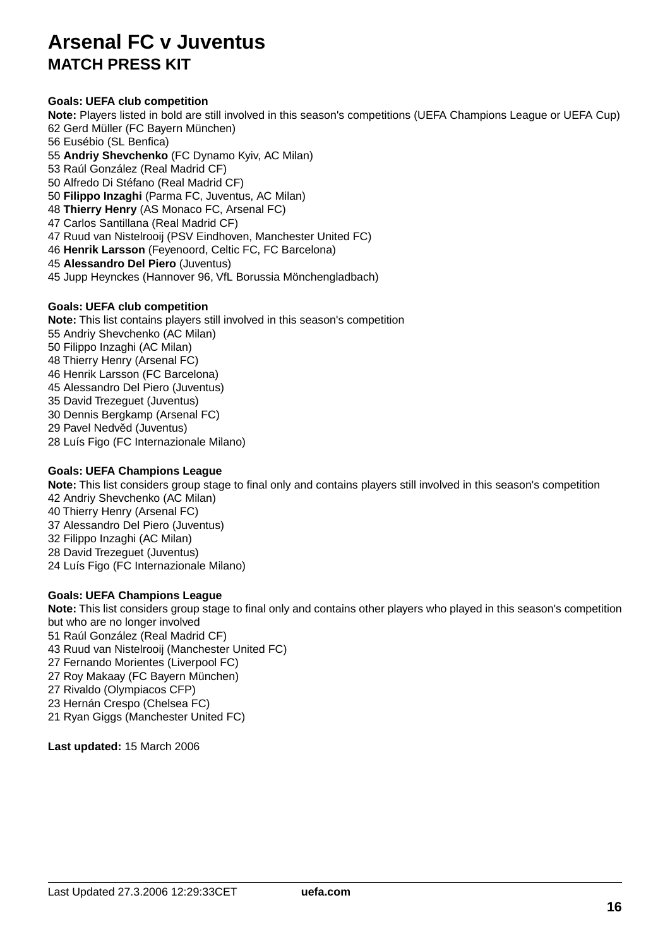## **Goals: UEFA club competition**

**Note:** Players listed in bold are still involved in this season's competitions (UEFA Champions League or UEFA Cup) 62 Gerd Müller (FC Bayern München) 56 Eusébio (SL Benfica) 55 **Andriy Shevchenko** (FC Dynamo Kyiv, AC Milan) 53 Raúl González (Real Madrid CF) 50 Alfredo Di Stéfano (Real Madrid CF) 50 **Filippo Inzaghi** (Parma FC, Juventus, AC Milan) 48 **Thierry Henry** (AS Monaco FC, Arsenal FC)

47 Carlos Santillana (Real Madrid CF)

47 Ruud van Nistelrooij (PSV Eindhoven, Manchester United FC)

46 **Henrik Larsson** (Feyenoord, Celtic FC, FC Barcelona)

45 **Alessandro Del Piero** (Juventus)

45 Jupp Heynckes (Hannover 96, VfL Borussia Mönchengladbach)

## **Goals: UEFA club competition**

**Note:** This list contains players still involved in this season's competition 55 Andriy Shevchenko (AC Milan) 50 Filippo Inzaghi (AC Milan) 48 Thierry Henry (Arsenal FC) 46 Henrik Larsson (FC Barcelona) 45 Alessandro Del Piero (Juventus) 35 David Trezeguet (Juventus) 30 Dennis Bergkamp (Arsenal FC) 29 Pavel Nedv d (Juventus) 28 Luís Figo (FC Internazionale Milano)

## **Goals: UEFA Champions League**

**Note:** This list considers group stage to final only and contains players still involved in this season's competition 42 Andriy Shevchenko (AC Milan) 40 Thierry Henry (Arsenal FC) 37 Alessandro Del Piero (Juventus) 32 Filippo Inzaghi (AC Milan) 28 David Trezeguet (Juventus) 24 Luís Figo (FC Internazionale Milano)

## **Goals: UEFA Champions League**

**Note:** This list considers group stage to final only and contains other players who played in this season's competition but who are no longer involved 51 Raúl González (Real Madrid CF) 43 Ruud van Nistelrooij (Manchester United FC) 27 Fernando Morientes (Liverpool FC) 27 Roy Makaay (FC Bayern München) 27 Rivaldo (Olympiacos CFP) 23 Hernán Crespo (Chelsea FC)

21 Ryan Giggs (Manchester United FC)

**Last updated:** 15 March 2006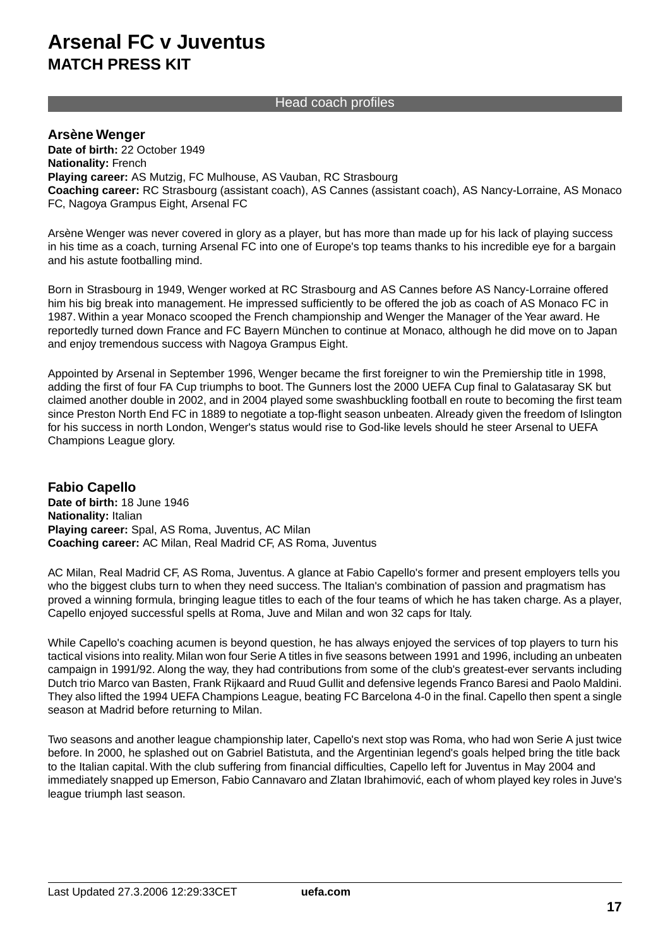## Head coach profiles

## **Arsène Wenger**

**Date of birth:** 22 October 1949 **Nationality:** French **Playing career:** AS Mutzig, FC Mulhouse, AS Vauban, RC Strasbourg **Coaching career:** RC Strasbourg (assistant coach), AS Cannes (assistant coach), AS Nancy-Lorraine, AS Monaco FC, Nagoya Grampus Eight, Arsenal FC

Arsène Wenger was never covered in glory as a player, but has more than made up for his lack of playing success in his time as a coach, turning Arsenal FC into one of Europe's top teams thanks to his incredible eye for a bargain and his astute footballing mind.

Born in Strasbourg in 1949, Wenger worked at RC Strasbourg and AS Cannes before AS Nancy-Lorraine offered him his big break into management. He impressed sufficiently to be offered the job as coach of AS Monaco FC in 1987. Within a year Monaco scooped the French championship and Wenger the Manager of the Year award. He reportedly turned down France and FC Bayern München to continue at Monaco, although he did move on to Japan and enjoy tremendous success with Nagoya Grampus Eight.

Appointed by Arsenal in September 1996, Wenger became the first foreigner to win the Premiership title in 1998, adding the first of four FA Cup triumphs to boot. The Gunners lost the 2000 UEFA Cup final to Galatasaray SK but claimed another double in 2002, and in 2004 played some swashbuckling football en route to becoming the first team since Preston North End FC in 1889 to negotiate a top-flight season unbeaten. Already given the freedom of Islington for his success in north London, Wenger's status would rise to God-like levels should he steer Arsenal to UEFA Champions League glory.

**Fabio Capello Date of birth:** 18 June 1946 **Nationality:** Italian **Playing career:** Spal, AS Roma, Juventus, AC Milan **Coaching career:** AC Milan, Real Madrid CF, AS Roma, Juventus

AC Milan, Real Madrid CF, AS Roma, Juventus. A glance at Fabio Capello's former and present employers tells you who the biggest clubs turn to when they need success. The Italian's combination of passion and pragmatism has proved a winning formula, bringing league titles to each of the four teams of which he has taken charge. As a player, Capello enjoyed successful spells at Roma, Juve and Milan and won 32 caps for Italy.

While Capello's coaching acumen is beyond question, he has always enjoyed the services of top players to turn his tactical visions into reality. Milan won four Serie A titles in five seasons between 1991 and 1996, including an unbeaten campaign in 1991/92. Along the way, they had contributions from some of the club's greatest-ever servants including Dutch trio Marco van Basten, Frank Rijkaard and Ruud Gullit and defensive legends Franco Baresi and Paolo Maldini. They also lifted the 1994 UEFA Champions League, beating FC Barcelona 4-0 in the final. Capello then spent a single season at Madrid before returning to Milan.

Two seasons and another league championship later, Capello's next stop was Roma, who had won Serie A just twice before. In 2000, he splashed out on Gabriel Batistuta, and the Argentinian legend's goals helped bring the title back to the Italian capital. With the club suffering from financial difficulties, Capello left for Juventus in May 2004 and immediately snapped up Emerson, Fabio Cannavaro and Zlatan Ibrahimovi , each of whom played key roles in Juve's league triumph last season.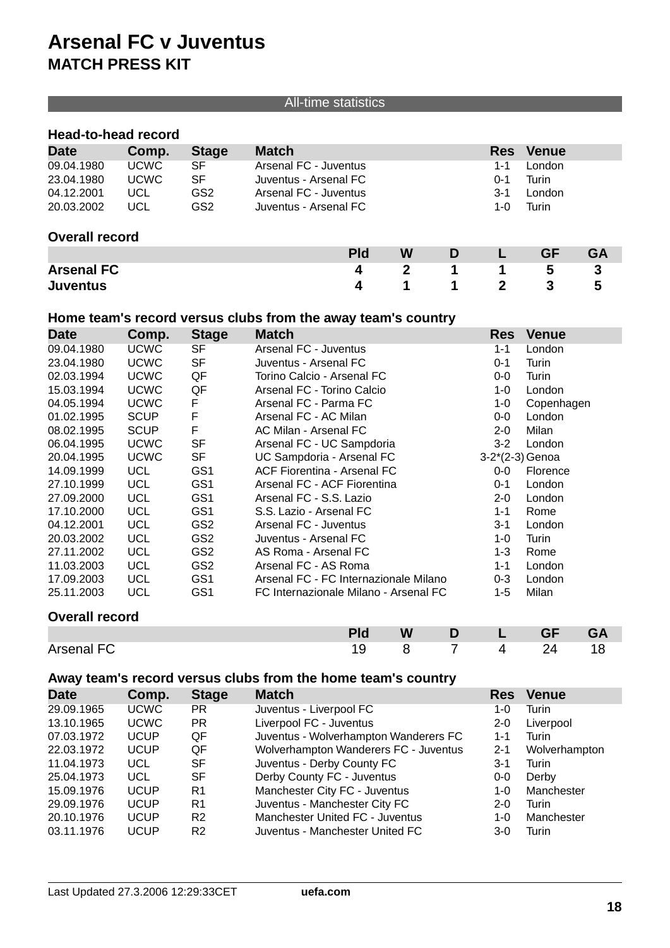## All-time statistics

## **Head-to-head record**

| <b>Date</b>           | Comp.       | <b>Stage</b>    | <b>Match</b>          | <b>Res</b> | <b>Venue</b> |
|-----------------------|-------------|-----------------|-----------------------|------------|--------------|
| 09.04.1980            | <b>UCWC</b> | SF              | Arsenal FC - Juventus | $1 - 1$    | London       |
| 23.04.1980            | <b>UCWC</b> | SF              | Juventus - Arsenal FC | $O - 1$    | Turin        |
| 04.12.2001            | UCL         | GS2             | Arsenal FC - Juventus | $3 - 1$    | London       |
| 20.03.2002            | UCL         | GS <sub>2</sub> | Juventus - Arsenal FC | 1-0        | Turin        |
| <b>Overall record</b> |             |                 |                       |            |              |

## **Pld W D L GF GA Arsenal FC 4 2 1 1 5 3 Juventus 4 1 1 2 3 5**

## **Home team's record versus clubs from the away team's country**

| <b>Date</b> | Comp.       | <b>Stage</b>    | <b>Match</b>                          | <b>Res</b>        | <b>Venue</b> |
|-------------|-------------|-----------------|---------------------------------------|-------------------|--------------|
| 09.04.1980  | <b>UCWC</b> | SF              | Arsenal FC - Juventus                 | $1 - 1$           | London       |
| 23.04.1980  | <b>UCWC</b> | SF              | Juventus - Arsenal FC                 | $0 - 1$           | Turin        |
| 02.03.1994  | <b>UCWC</b> | QF              | Torino Calcio - Arsenal FC            | $0-0$             | Turin        |
| 15.03.1994  | <b>UCWC</b> | QF              | Arsenal FC - Torino Calcio            | $1 - 0$           | London       |
| 04.05.1994  | <b>UCWC</b> | F               | Arsenal FC - Parma FC                 | $1 - 0$           | Copenhagen   |
| 01.02.1995  | <b>SCUP</b> | F               | Arsenal FC - AC Milan                 | $0-0$             | London       |
| 08.02.1995  | <b>SCUP</b> | F               | AC Milan - Arsenal FC                 | $2 - 0$           | Milan        |
| 06.04.1995  | <b>UCWC</b> | <b>SF</b>       | Arsenal FC - UC Sampdoria             | $3 - 2$           | London       |
| 20.04.1995  | <b>UCWC</b> | <b>SF</b>       | UC Sampdoria - Arsenal FC             | $3-2*(2-3)$ Genoa |              |
| 14.09.1999  | <b>UCL</b>  | GS <sub>1</sub> | <b>ACF Fiorentina - Arsenal FC</b>    | $0-0$             | Florence     |
| 27.10.1999  | <b>UCL</b>  | GS <sub>1</sub> | Arsenal FC - ACF Fiorentina           | $0 - 1$           | London       |
| 27.09.2000  | UCL         | GS <sub>1</sub> | Arsenal FC - S.S. Lazio               | $2 - 0$           | London       |
| 17.10.2000  | <b>UCL</b>  | GS <sub>1</sub> | S.S. Lazio - Arsenal FC               | $1 - 1$           | Rome         |
| 04.12.2001  | <b>UCL</b>  | GS <sub>2</sub> | Arsenal FC - Juventus                 | $3 - 1$           | London       |
| 20.03.2002  | <b>UCL</b>  | GS <sub>2</sub> | Juventus - Arsenal FC                 | $1 - 0$           | Turin        |
| 27.11.2002  | <b>UCL</b>  | GS <sub>2</sub> | AS Roma - Arsenal FC                  | $1 - 3$           | Rome         |
| 11.03.2003  | <b>UCL</b>  | GS <sub>2</sub> | Arsenal FC - AS Roma                  | 1-1               | London       |
| 17.09.2003  | <b>UCL</b>  | GS1             | Arsenal FC - FC Internazionale Milano | $0 - 3$           | London       |
| 25.11.2003  | <b>UCL</b>  | GS1             | FC Internazionale Milano - Arsenal FC | $1 - 5$           | Milan        |

## **Overall record**

|            | <b>Pld</b> |          | W D L GF | <b>GA</b> |
|------------|------------|----------|----------|-----------|
| Arsenal FC |            | 19 8 7 4 | - 24     |           |

## **Away team's record versus clubs from the home team's country**

| <b>Date</b> | Comp.       | <b>Stage</b>   | <b>Match</b>                          | <b>Res</b> | <b>Venue</b>  |  |
|-------------|-------------|----------------|---------------------------------------|------------|---------------|--|
| 29.09.1965  | <b>UCWC</b> | PR.            | Juventus - Liverpool FC               | 1-0        | Turin         |  |
| 13.10.1965  | <b>UCWC</b> | PR.            | Liverpool FC - Juventus               | $2 - 0$    | Liverpool     |  |
| 07.03.1972  | <b>UCUP</b> | QF             | Juventus - Wolverhampton Wanderers FC | $1 - 1$    | Turin         |  |
| 22.03.1972  | <b>UCUP</b> | QF             | Wolverhampton Wanderers FC - Juventus | $2 - 1$    | Wolverhampton |  |
| 11.04.1973  | UCL         | SF             | Juventus - Derby County FC            | $3 - 1$    | Turin         |  |
| 25.04.1973  | UCL         | SF             | Derby County FC - Juventus            | $0-0$      | Derby         |  |
| 15.09.1976  | <b>UCUP</b> | R1             | Manchester City FC - Juventus         | $1 - 0$    | Manchester    |  |
| 29.09.1976  | <b>UCUP</b> | R1             | Juventus - Manchester City FC         | $2 - 0$    | Turin         |  |
| 20.10.1976  | <b>UCUP</b> | R <sub>2</sub> | Manchester United FC - Juventus       | $1 - 0$    | Manchester    |  |
| 03.11.1976  | UCUP        | R <sub>2</sub> | Juventus - Manchester United FC       | 3-0        | Turin         |  |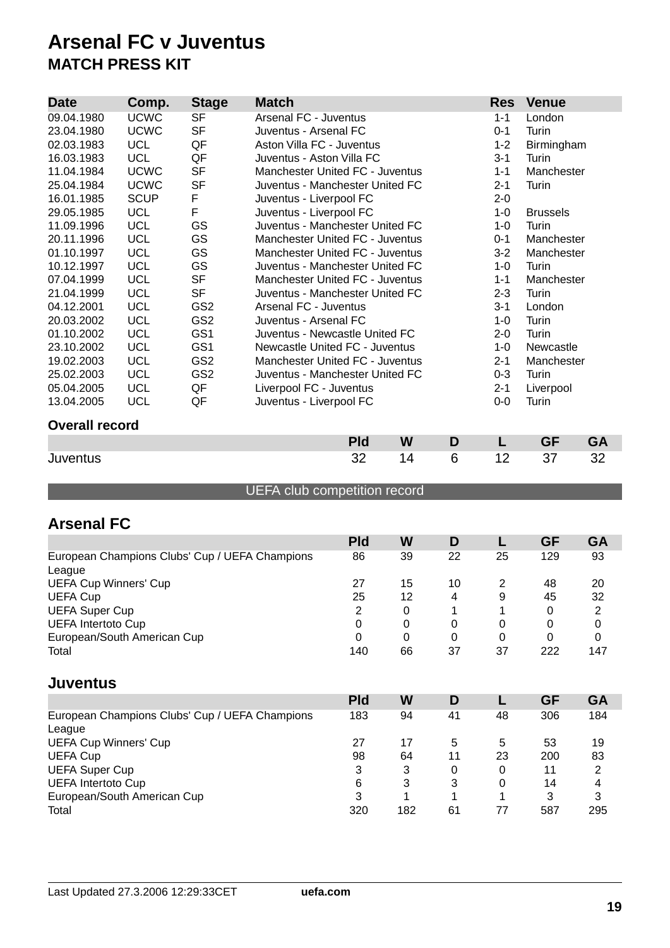| <b>Date</b>           | Comp.       | <b>Stage</b>    | <b>Match</b>                           |            | <b>Res</b> | <b>Venue</b> |            |                 |           |  |
|-----------------------|-------------|-----------------|----------------------------------------|------------|------------|--------------|------------|-----------------|-----------|--|
| 09.04.1980            | <b>UCWC</b> | <b>SF</b>       | Arsenal FC - Juventus                  |            |            | $1 - 1$      | London     |                 |           |  |
| 23.04.1980            | <b>UCWC</b> | <b>SF</b>       | Juventus - Arsenal FC                  |            |            |              | $0 - 1$    | Turin           |           |  |
| 02.03.1983            | <b>UCL</b>  | QF              | Aston Villa FC - Juventus              |            |            | $1 - 2$      | Birmingham |                 |           |  |
| 16.03.1983            | <b>UCL</b>  | QF              | Juventus - Aston Villa FC              |            |            |              | $3 - 1$    | Turin           |           |  |
| 11.04.1984            | <b>UCWC</b> | <b>SF</b>       | Manchester United FC - Juventus        |            |            |              | $1 - 1$    | Manchester      |           |  |
| 25.04.1984            | <b>UCWC</b> | <b>SF</b>       | Juventus - Manchester United FC        |            |            |              | $2 - 1$    | Turin           |           |  |
| 16.01.1985            | <b>SCUP</b> | F               | Juventus - Liverpool FC                |            |            |              | $2 - 0$    |                 |           |  |
| 29.05.1985            | <b>UCL</b>  | F               | Juventus - Liverpool FC                |            |            |              | $1 - 0$    | <b>Brussels</b> |           |  |
| 11.09.1996            | <b>UCL</b>  | GS              | Juventus - Manchester United FC        |            |            |              | $1 - 0$    | Turin           |           |  |
| 20.11.1996            | <b>UCL</b>  | GS              | Manchester United FC - Juventus        |            |            |              | $0 - 1$    | Manchester      |           |  |
| 01.10.1997            | <b>UCL</b>  | GS              | Manchester United FC - Juventus        |            |            |              | $3 - 2$    | Manchester      |           |  |
| 10.12.1997            | <b>UCL</b>  | GS              | Juventus - Manchester United FC        |            |            |              | $1 - 0$    | Turin           |           |  |
| 07.04.1999            | <b>UCL</b>  | <b>SF</b>       | Manchester United FC - Juventus        |            |            |              | $1 - 1$    | Manchester      |           |  |
| 21.04.1999            | <b>UCL</b>  | <b>SF</b>       | Juventus - Manchester United FC        |            |            |              | $2 - 3$    | Turin           |           |  |
| 04.12.2001            | <b>UCL</b>  | GS <sub>2</sub> | Arsenal FC - Juventus                  |            |            |              | $3 - 1$    | London          |           |  |
| 20.03.2002            | <b>UCL</b>  | GS <sub>2</sub> | Juventus - Arsenal FC                  |            |            |              | $1 - 0$    | Turin           |           |  |
| 01.10.2002            | <b>UCL</b>  | GS1             | Juventus - Newcastle United FC         |            |            |              | $2 - 0$    | Turin           |           |  |
| 23.10.2002            | <b>UCL</b>  | GS <sub>1</sub> | Newcastle United FC - Juventus         |            |            |              | $1 - 0$    | Newcastle       |           |  |
| 19.02.2003            | <b>UCL</b>  | GS <sub>2</sub> | <b>Manchester United FC - Juventus</b> |            |            |              | $2 - 1$    | Manchester      |           |  |
| 25.02.2003            | <b>UCL</b>  | GS <sub>2</sub> | Juventus - Manchester United FC        |            |            |              | $0 - 3$    | Turin           |           |  |
| 05.04.2005            | <b>UCL</b>  | QF              | Liverpool FC - Juventus                |            |            |              | $2 - 1$    | Liverpool       |           |  |
| 13.04.2005            | <b>UCL</b>  | QF              | Juventus - Liverpool FC                |            |            | $0-0$        | Turin      |                 |           |  |
| <b>Overall record</b> |             |                 |                                        |            |            |              |            |                 |           |  |
|                       |             |                 |                                        | <b>Pld</b> | W          | D            | L          | <b>GF</b>       | <b>GA</b> |  |
| Juventus              |             |                 |                                        | 32         | 14         | 6            | 12         | 37              | 32        |  |

## UEFA club competition record

## **Arsenal FC**

|                                                | <b>Pld</b> | W  | D  |    | GF  | <b>GA</b> |
|------------------------------------------------|------------|----|----|----|-----|-----------|
| European Champions Clubs' Cup / UEFA Champions | 86         | 39 | 22 | 25 | 129 | 93        |
| League                                         |            |    |    |    |     |           |
| <b>UEFA Cup Winners' Cup</b>                   | 27         | 15 | 10 |    | 48  | 20        |
| <b>UEFA Cup</b>                                | 25         | 12 | 4  | 9  | 45  | 32        |
| <b>UEFA Super Cup</b>                          | 2          | 0  |    |    | 0   | 2         |
| <b>UEFA Intertoto Cup</b>                      |            | 0  | 0  | 0  | 0   | 0         |
| European/South American Cup                    | 0          | 0  | 0  | 0  | 0   | 0         |
| Total                                          | 140        | 66 | 37 | 37 | 222 | 147       |

## **Juventus**

|                                                          | <b>Pld</b> | W   |    |    | GF  | GA  |
|----------------------------------------------------------|------------|-----|----|----|-----|-----|
| European Champions Clubs' Cup / UEFA Champions<br>League | 183        | 94  | 41 | 48 | 306 | 184 |
| <b>UEFA Cup Winners' Cup</b>                             | 27         | 17  | 5  | 5  | 53  | 19  |
| <b>UEFA Cup</b>                                          | 98         | 64  | 11 | 23 | 200 | 83  |
| <b>UEFA Super Cup</b>                                    | 3          | 3   | 0  | 0  | 11  | 2   |
| <b>UEFA Intertoto Cup</b>                                | 6          | 3   | 3  | 0  | 14  | 4   |
| European/South American Cup                              | 3          |     |    |    | 3   | 3   |
| Total                                                    | 320        | 182 | 61 | 77 | 587 | 295 |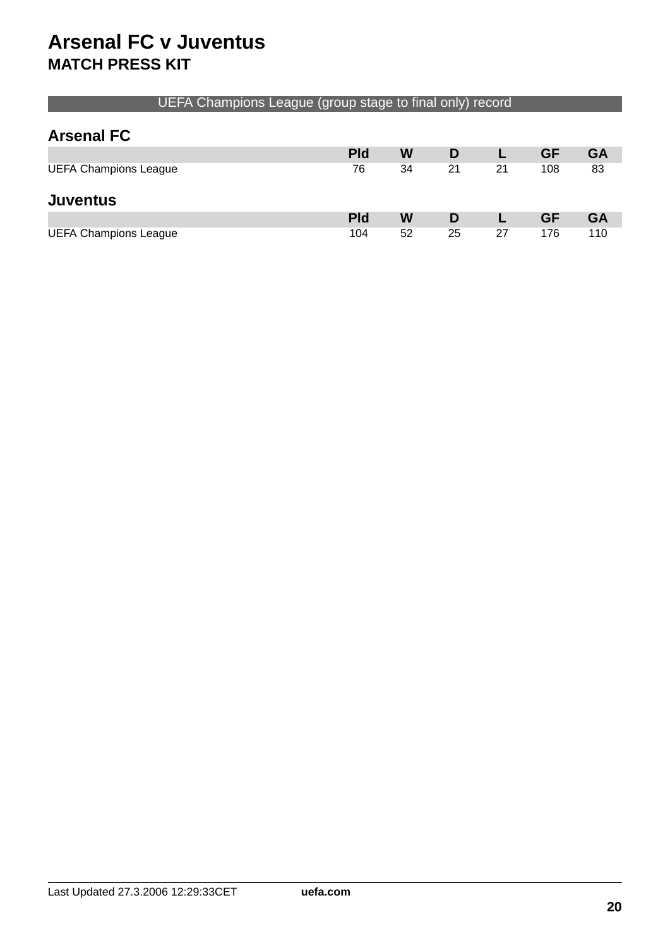## UEFA Champions League (group stage to final only) record

## **Arsenal FC**

|                              | <b>Pld</b> | W  | D  |    | GF        | GA        |
|------------------------------|------------|----|----|----|-----------|-----------|
| <b>UEFA Champions League</b> | 76         | 34 | 21 | 21 | 108       | 83        |
| <b>Juventus</b>              |            |    |    |    |           |           |
|                              | <b>Pld</b> | W  | D  |    | <b>GF</b> | <b>GA</b> |
| <b>UEFA Champions League</b> | 104        | 52 | 25 | 27 | 176       | 110       |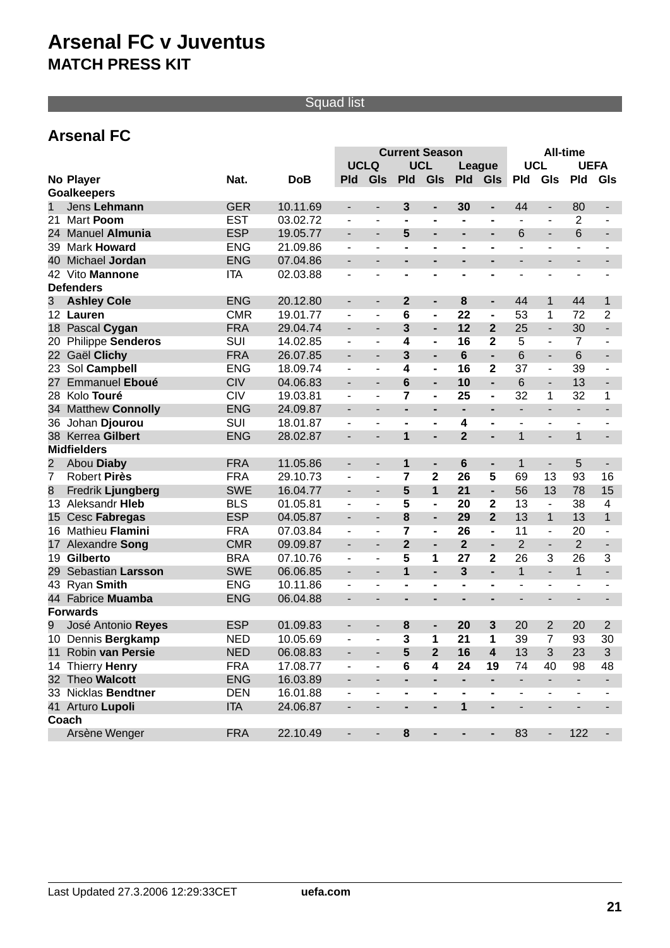## Squad list

## **Arsenal FC**

|                 |                          |            |            | <b>All-time</b><br><b>Current Season</b> |                          |                         |                          |                          |                          |                          |                          |                          |                          |
|-----------------|--------------------------|------------|------------|------------------------------------------|--------------------------|-------------------------|--------------------------|--------------------------|--------------------------|--------------------------|--------------------------|--------------------------|--------------------------|
|                 |                          |            |            | <b>UCLQ</b>                              |                          |                         | <b>UCL</b>               |                          | League                   | <b>UCL</b>               |                          | <b>UEFA</b>              |                          |
|                 | No Player                | Nat.       | <b>DoB</b> | <b>Pld</b>                               | GIs                      | <b>Pld</b>              | GIs                      | <b>Pld</b>               | Gls                      | <b>Pld</b>               | GIs                      | <b>Pld</b>               | GIs                      |
|                 | <b>Goalkeepers</b>       |            |            |                                          |                          |                         |                          |                          |                          |                          |                          |                          |                          |
| $\mathbf 1$     | Jens Lehmann             | <b>GER</b> | 10.11.69   | $\qquad \qquad \blacksquare$             | $\overline{\phantom{a}}$ | 3                       | -                        | 30                       | -                        | 44                       | $\overline{\phantom{a}}$ | 80                       | $\overline{\phantom{a}}$ |
| 21              | Mart Poom                | <b>EST</b> | 03.02.72   | ÷,                                       | ä,                       |                         | $\blacksquare$           | $\blacksquare$           | -                        | $\blacksquare$           | $\blacksquare$           | 2                        |                          |
| 24              | Manuel Almunia           | <b>ESP</b> | 19.05.77   | $\blacksquare$                           | $\overline{\phantom{0}}$ | 5                       | $\overline{\phantom{0}}$ | -                        |                          | 6                        | $\blacksquare$           | 6                        | $\blacksquare$           |
| 39              | <b>Mark Howard</b>       | <b>ENG</b> | 21.09.86   | ÷,                                       |                          |                         | $\blacksquare$           | $\blacksquare$           |                          |                          | $\blacksquare$           |                          |                          |
| 40              | Michael Jordan           | <b>ENG</b> | 07.04.86   |                                          |                          |                         | $\overline{\phantom{0}}$ | ۰                        |                          |                          |                          |                          |                          |
| 42              | Vito Mannone             | <b>ITA</b> | 02.03.88   | $\blacksquare$                           | ä,                       |                         | $\blacksquare$           | $\blacksquare$           | -                        |                          | L,                       | $\blacksquare$           |                          |
|                 | <b>Defenders</b>         |            |            |                                          |                          |                         |                          |                          |                          |                          |                          |                          |                          |
| 3               | <b>Ashley Cole</b>       | <b>ENG</b> | 20.12.80   | $\blacksquare$                           | $\overline{\phantom{a}}$ | $\boldsymbol{2}$        | ٠                        | 8                        | ۰                        | 44                       | 1                        | 44                       | 1                        |
|                 | 12 Lauren                | <b>CMR</b> | 19.01.77   | $\overline{\phantom{a}}$                 | ٠                        | 6                       | $\overline{\phantom{0}}$ | 22                       | $\overline{\phantom{0}}$ | 53                       | 1                        | 72                       | $\overline{2}$           |
|                 | 18 Pascal Cygan          | <b>FRA</b> | 29.04.74   |                                          | $\overline{\phantom{a}}$ | $\overline{\mathbf{3}}$ | $\overline{a}$           | 12                       | $\mathbf{2}$             | 25                       | $\blacksquare$           | 30                       | ÷.                       |
| 20              | <b>Philippe Senderos</b> | <b>SUI</b> | 14.02.85   | ÷,                                       |                          | 4                       | $\overline{\phantom{0}}$ | 16                       | $\overline{2}$           | 5                        | $\blacksquare$           | 7                        |                          |
| 22              | Gaël Clichy              | <b>FRA</b> | 26.07.85   |                                          | ä,                       | 3                       | ÷,                       | 6                        | ÷.                       | 6                        | $\frac{1}{2}$            | 6                        |                          |
| 23              | Sol Campbell             | <b>ENG</b> | 18.09.74   | ÷,                                       |                          | 4                       | $\overline{\phantom{0}}$ | 16                       | 2                        | 37                       | $\overline{\phantom{a}}$ | 39                       | $\overline{\phantom{0}}$ |
| 27              | Emmanuel Eboué           | <b>CIV</b> | 04.06.83   |                                          | ä,                       | 6                       | $\overline{a}$           | 10                       | $\overline{a}$           | 6                        | $\frac{1}{2}$            | 13                       | $\overline{\phantom{a}}$ |
| 28              | Kolo Touré               | CIV        | 19.03.81   |                                          |                          | $\overline{7}$          | $\overline{\phantom{0}}$ | 25                       | $\overline{\phantom{0}}$ | 32                       | 1                        | 32                       | 1                        |
| 34              | <b>Matthew Connolly</b>  | <b>ENG</b> | 24.09.87   |                                          |                          |                         | $\overline{a}$           | $\overline{\phantom{0}}$ |                          |                          |                          | $\overline{\phantom{a}}$ |                          |
| 36              | Johan Djourou            | <b>SUI</b> | 18.01.87   |                                          |                          |                         | $\overline{\phantom{0}}$ | 4                        | -                        |                          |                          |                          |                          |
| 38              | Kerrea Gilbert           | <b>ENG</b> | 28.02.87   | $\blacksquare$                           | ä,                       | 1                       | $\overline{a}$           | $\overline{2}$           | L,                       | $\mathbf{1}$             | $\overline{a}$           | $\mathbf{1}$             |                          |
|                 | <b>Midfielders</b>       |            |            |                                          |                          |                         |                          |                          |                          |                          |                          |                          |                          |
| 2               | Abou Diaby               | <b>FRA</b> | 11.05.86   | $\blacksquare$                           | $\overline{\phantom{a}}$ | 1                       | ٠                        | 6                        | $\overline{\phantom{0}}$ | 1                        | $\blacksquare$           | 5                        | $\overline{\phantom{a}}$ |
| 7               | <b>Robert Pirès</b>      | <b>FRA</b> | 29.10.73   | ÷,                                       | $\overline{\phantom{0}}$ | $\overline{7}$          | $\mathbf{2}$             | 26                       | 5                        | 69                       | 13                       | 93                       | 16                       |
| 8               | Fredrik Ljungberg        | <b>SWE</b> | 16.04.77   |                                          | $\overline{\phantom{a}}$ | 5                       | $\mathbf{1}$             | 21                       | $\overline{\phantom{0}}$ | 56                       | 13                       | 78                       | 15                       |
|                 | 13 Aleksandr Hieb        | <b>BLS</b> | 01.05.81   | ÷,                                       | ä,                       | 5                       | $\blacksquare$           | 20                       | 2                        | 13                       | $\blacksquare$           | 38                       | $\overline{4}$           |
| 15 <sup>1</sup> | Cesc Fabregas            | <b>ESP</b> | 04.05.87   |                                          | ä,                       | 8                       | $\overline{a}$           | 29                       | $\overline{2}$           | 13                       | $\mathbf 1$              | 13                       | $\mathbf{1}$             |
| 16              | Mathieu Flamini          | <b>FRA</b> | 07.03.84   | ÷,                                       | ÷,                       | $\overline{7}$          | $\blacksquare$           | 26                       | $\blacksquare$           | 11                       | $\blacksquare$           | 20                       | ÷,                       |
| 17              | Alexandre Song           | <b>CMR</b> | 09.09.87   |                                          | ä,                       | $\overline{2}$          | $\overline{a}$           | $\overline{2}$           | $\overline{\phantom{0}}$ | $\overline{2}$           | L.                       | $\overline{2}$           | $\frac{1}{2}$            |
| 19              | <b>Gilberto</b>          | <b>BRA</b> | 07.10.76   | ÷,                                       | ÷,                       | 5                       | 1                        | 27                       | 2                        | 26                       | 3                        | 26                       | 3                        |
| 29              | Sebastian Larsson        | <b>SWE</b> | 06.06.85   |                                          |                          | 1                       | $\overline{a}$           | 3                        | $\overline{a}$           | $\mathbf{1}$             | $\blacksquare$           | $\mathbf{1}$             |                          |
| 43              | Ryan Smith               | <b>ENG</b> | 10.11.86   | ÷,                                       |                          |                         | $\blacksquare$           | $\blacksquare$           |                          |                          |                          |                          |                          |
|                 | 44 Fabrice Muamba        | <b>ENG</b> | 06.04.88   | $\blacksquare$                           |                          |                         | ۰                        | ۰                        |                          |                          |                          | ٠                        |                          |
|                 | <b>Forwards</b>          |            |            |                                          |                          |                         |                          |                          |                          |                          |                          |                          |                          |
| 9               | José Antonio Reyes       | <b>ESP</b> | 01.09.83   |                                          |                          | 8                       | ٠                        | 20                       | 3                        | 20                       | $\overline{2}$           | 20                       | $\overline{2}$           |
|                 | 10 Dennis Bergkamp       | <b>NED</b> | 10.05.69   | ÷,                                       | ä,                       | 3                       | 1                        | 21                       | 1                        | 39                       | 7                        | 93                       | 30                       |
|                 | 11 Robin van Persie      | <b>NED</b> | 06.08.83   |                                          | ۰.                       | 5                       | $\overline{2}$           | 16                       | 4                        | 13                       | 3                        | 23                       | 3                        |
|                 | 14 Thierry Henry         | <b>FRA</b> | 17.08.77   |                                          |                          | 6                       | 4                        | 24                       | 19                       | 74                       | 40                       | 98                       | 48                       |
|                 | 32 Theo Walcott          | <b>ENG</b> | 16.03.89   |                                          |                          | ٠                       | $\overline{\phantom{0}}$ | $\overline{\phantom{a}}$ | Ξ.                       | $\overline{\phantom{a}}$ | $\overline{\phantom{a}}$ | $\overline{\phantom{a}}$ |                          |
|                 | 33 Nicklas Bendtner      | <b>DEN</b> | 16.01.88   |                                          |                          |                         | -                        | -                        | -                        |                          |                          |                          |                          |
|                 | 41 Arturo Lupoli         | <b>ITA</b> | 24.06.87   | $\qquad \qquad \blacksquare$             | $\overline{\phantom{a}}$ | $\blacksquare$          | $\overline{\phantom{a}}$ | 1                        | $\overline{\phantom{0}}$ | $\overline{\phantom{a}}$ | $\overline{\phantom{a}}$ | ٠                        |                          |
|                 | Coach                    |            |            |                                          |                          |                         |                          |                          |                          |                          |                          |                          |                          |
|                 | Arsène Wenger            | <b>FRA</b> | 22.10.49   | $\overline{\phantom{a}}$                 | -                        | 8                       | $\blacksquare$           | ٠                        | ۰                        | 83                       | $\overline{\phantom{a}}$ | 122                      |                          |
|                 |                          |            |            |                                          |                          |                         |                          |                          |                          |                          |                          |                          |                          |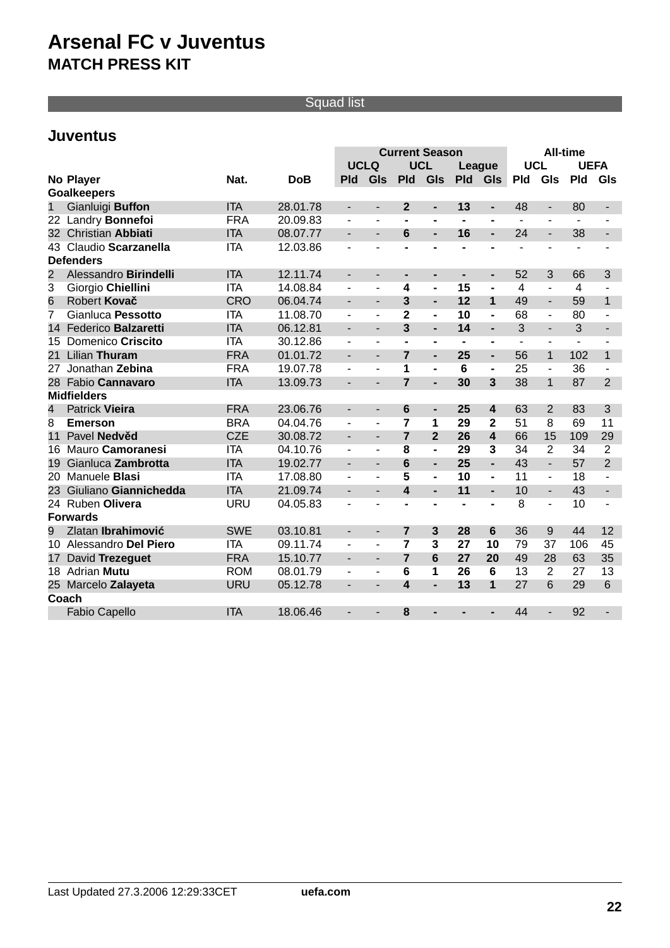## Squad list

## **Juventus**

|                         |                          |            |            | <b>Current Season</b><br><b>All-time</b> |                          |                         |                              |                              |                              |                |                          |              |                |
|-------------------------|--------------------------|------------|------------|------------------------------------------|--------------------------|-------------------------|------------------------------|------------------------------|------------------------------|----------------|--------------------------|--------------|----------------|
|                         |                          |            |            | <b>UCLQ</b>                              |                          | <b>UCL</b>              |                              | League                       |                              | <b>UCL</b>     |                          | <b>UEFA</b>  |                |
|                         | No Player                | Nat.       | <b>DoB</b> | <b>Pld</b>                               | GIs                      | <b>Pld</b>              | GIs                          | <b>Pld</b>                   | <b>GIs</b>                   | <b>Pld</b>     | GIs                      | <b>Pld</b>   | GIs            |
|                         | <b>Goalkeepers</b>       |            |            |                                          |                          |                         |                              |                              |                              |                |                          |              |                |
| 1                       | Gianluigi Buffon         | <b>ITA</b> | 28.01.78   | $\overline{\phantom{a}}$                 | $\overline{\phantom{a}}$ | $\overline{2}$          | ٠                            | 13                           | $\overline{\phantom{0}}$     | 48             | $\overline{\phantom{a}}$ | 80           |                |
|                         | 22 Landry Bonnefoi       | <b>FRA</b> | 20.09.83   | $\blacksquare$                           | $\blacksquare$           | $\blacksquare$          | $\qquad \qquad \blacksquare$ | $\blacksquare$               | $\blacksquare$               | $\mathbf{r}$   | $\blacksquare$           | $\mathbf{r}$ |                |
| 32                      | <b>Christian Abbiati</b> | <b>ITA</b> | 08.07.77   | ÷,                                       | $\blacksquare$           | 6                       | $\overline{a}$               | 16                           | ÷.                           | 24             | $\frac{1}{2}$            | 38           | ÷,             |
| 43                      | Claudio Scarzanella      | <b>ITA</b> | 12.03.86   | $\overline{a}$                           |                          |                         | $\blacksquare$               | $\overline{a}$               | $\blacksquare$               |                |                          |              |                |
|                         | <b>Defenders</b>         |            |            |                                          |                          |                         |                              |                              |                              |                |                          |              |                |
| $\overline{2}$          | Alessandro Birindelli    | <b>ITA</b> | 12.11.74   | $\blacksquare$                           | $\overline{\phantom{a}}$ | ۰                       | $\blacksquare$               | ٠                            | $\overline{\phantom{0}}$     | 52             | 3                        | 66           | 3              |
| 3                       | Giorgio Chiellini        | <b>ITA</b> | 14.08.84   | $\overline{\phantom{a}}$                 | ä,                       | 4                       | $\blacksquare$               | 15                           | $\qquad \qquad \blacksquare$ | $\overline{4}$ | $\blacksquare$           | 4            | $\blacksquare$ |
| 6                       | Robert Kova              | <b>CRO</b> | 06.04.74   | ÷.                                       | $\overline{\phantom{a}}$ | $\overline{3}$          | ÷,                           | 12                           | $\mathbf{1}$                 | 49             | $\overline{a}$           | 59           | $\overline{1}$ |
| 7                       | Gianluca Pessotto        | <b>ITA</b> | 11.08.70   | $\overline{\phantom{a}}$                 | $\blacksquare$           | $\overline{2}$          | $\blacksquare$               | 10                           | $\blacksquare$               | 68             | $\overline{\phantom{a}}$ | 80           |                |
| 14                      | Federico Balzaretti      | <b>ITA</b> | 06.12.81   | $\blacksquare$                           | $\blacksquare$           | $\overline{3}$          | $\overline{a}$               | 14                           | ۰                            | 3              | $\frac{1}{2}$            | 3            | L.             |
| 15                      | Domenico Criscito        | <b>ITA</b> | 30.12.86   |                                          |                          |                         | $\qquad \qquad \blacksquare$ | $\blacksquare$               | ۰                            |                | $\overline{\phantom{0}}$ |              |                |
| 21                      | Lilian Thuram            | <b>FRA</b> | 01.01.72   | $\blacksquare$                           | $\blacksquare$           | $\overline{7}$          | $\overline{a}$               | 25                           | ÷.                           | 56             | $\mathbf{1}$             | 102          | $\mathbf{1}$   |
| 27                      | Jonathan Zebina          | <b>FRA</b> | 19.07.78   |                                          | $\mathbf{r}$             | 1                       | $\blacksquare$               | 6                            | $\blacksquare$               | 25             | $\overline{\phantom{a}}$ | 36           |                |
| 28                      | Fabio Cannavaro          | <b>ITA</b> | 13.09.73   | ÷,                                       |                          | $\overline{7}$          | ÷,                           | 30                           | $\overline{3}$               | 38             | $\mathbf{1}$             | 87           | $\overline{2}$ |
|                         | <b>Midfielders</b>       |            |            |                                          |                          |                         |                              |                              |                              |                |                          |              |                |
| $\overline{\mathbf{4}}$ | Patrick Vieira           | <b>FRA</b> | 23.06.76   | $\overline{\phantom{a}}$                 | $\overline{\phantom{a}}$ | $6\phantom{1}$          | ٠                            | 25                           | $\overline{\mathbf{4}}$      | 63             | $\overline{2}$           | 83           | 3              |
| 8                       | <b>Emerson</b>           | <b>BRA</b> | 04.04.76   | $\blacksquare$                           | $\blacksquare$           | $\overline{7}$          | 1                            | 29                           | $\mathbf{2}$                 | 51             | 8                        | 69           | 11             |
| 11                      | Pavel Nedv d             | <b>CZE</b> | 30.08.72   | ÷,                                       | $\blacksquare$           | $\overline{7}$          | $\overline{2}$               | 26                           | $\overline{\mathbf{4}}$      | 66             | 15                       | 109          | 29             |
| 16                      | Mauro Camoranesi         | <b>ITA</b> | 04.10.76   | $\blacksquare$                           |                          | 8                       | $\blacksquare$               | 29                           | $\overline{\mathbf{3}}$      | 34             | $\overline{2}$           | 34           | $\overline{2}$ |
| 19                      | Gianluca Zambrotta       | <b>ITA</b> | 19.02.77   | ÷.                                       | $\blacksquare$           | $6\phantom{1}6$         | ÷.                           | 25                           | ÷.                           | 43             | L.                       | 57           | $\overline{2}$ |
| 20                      | Manuele Blasi            | <b>ITA</b> | 17.08.80   |                                          |                          | 5                       | $\blacksquare$               | 10                           | $\blacksquare$               | 11             | $\blacksquare$           | 18           |                |
| 23                      | Giuliano Giannichedda    | <b>ITA</b> | 21.09.74   |                                          |                          | $\overline{\mathbf{4}}$ | L.                           | 11                           | ÷.                           | 10             | $\overline{a}$           | 43           |                |
| 24                      | Ruben Olivera            | <b>URU</b> | 04.05.83   | ä,                                       | $\blacksquare$           |                         | $\blacksquare$               | $\qquad \qquad \blacksquare$ | $\blacksquare$               | $\overline{8}$ | $\overline{a}$           | 10           |                |
|                         | <b>Forwards</b>          |            |            |                                          |                          |                         |                              |                              |                              |                |                          |              |                |
| 9                       | Zlatan Ibrahimovi        | <b>SWE</b> | 03.10.81   | $\blacksquare$                           | $\overline{\phantom{a}}$ | $\overline{7}$          | $\mathbf{3}$                 | 28                           | $6\phantom{1}$               | 36             | 9                        | 44           | 12             |
|                         | 10 Alessandro Del Piero  | <b>ITA</b> | 09.11.74   | $\blacksquare$                           | $\blacksquare$           | $\overline{7}$          | 3                            | 27                           | 10                           | 79             | 37                       | 106          | 45             |
| 17                      | David Trezeguet          | <b>FRA</b> | 15.10.77   | $\blacksquare$                           | $\blacksquare$           | $\overline{7}$          | $6\phantom{1}6$              | 27                           | 20                           | 49             | 28                       | 63           | 35             |
|                         | 18 Adrian Mutu           | <b>ROM</b> | 08.01.79   |                                          |                          | 6                       | 1                            | 26                           | 6                            | 13             | $\overline{2}$           | 27           | 13             |
|                         | 25 Marcelo Zalayeta      | <b>URU</b> | 05.12.78   |                                          | $\blacksquare$           | $\boldsymbol{4}$        | L.                           | 13                           | $\overline{1}$               | 27             | 6                        | 29           | 6              |
|                         | Coach                    |            |            |                                          |                          |                         |                              |                              |                              |                |                          |              |                |
|                         | <b>Fabio Capello</b>     | <b>ITA</b> | 18.06.46   | $\overline{\phantom{0}}$                 |                          | 8                       | -                            |                              | -                            | 44             | $\overline{\phantom{a}}$ | 92           |                |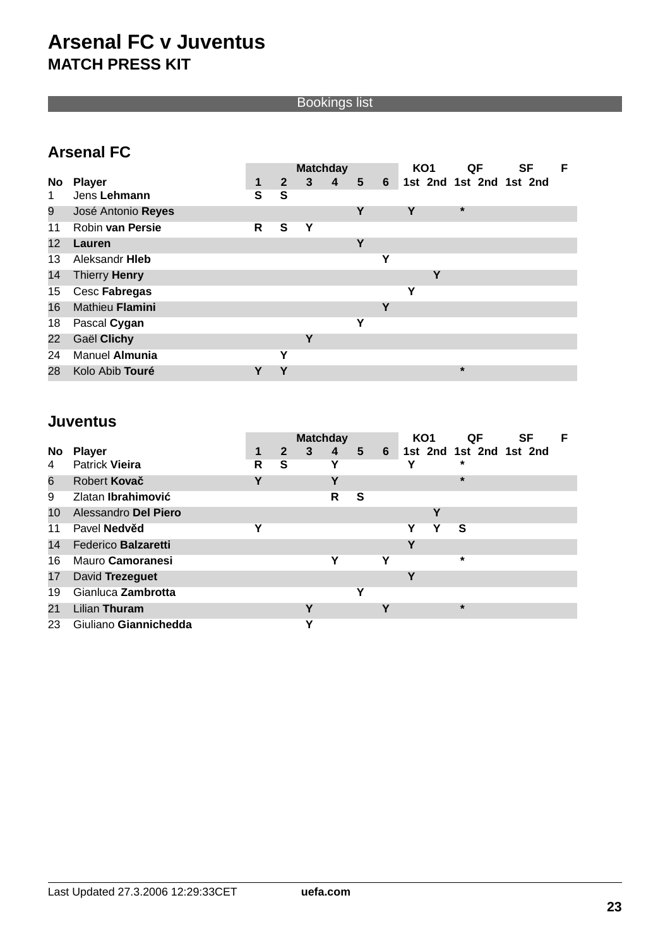Bookings list

## **Arsenal FC**

|                   |                      | <b>Matchday</b> |              |                |   |   |                | KO <sub>1</sub>         | QF      | <b>SF</b> | F |
|-------------------|----------------------|-----------------|--------------|----------------|---|---|----------------|-------------------------|---------|-----------|---|
| <b>No</b>         | <b>Player</b>        | 1               | $\mathbf{2}$ | 3 <sup>7</sup> | 4 | 5 | 6 <sup>1</sup> | 1st 2nd 1st 2nd 1st 2nd |         |           |   |
| 1                 | Jens Lehmann         | S               | S            |                |   |   |                |                         |         |           |   |
| 9                 | José Antonio Reyes   |                 |              |                |   | Υ |                | Υ                       | $\star$ |           |   |
| 11                | Robin van Persie     | R               | S            | Υ              |   |   |                |                         |         |           |   |
| $12 \overline{ }$ | Lauren               |                 |              |                |   | Υ |                |                         |         |           |   |
| 13                | Aleksandr Hieb       |                 |              |                |   |   | Υ              |                         |         |           |   |
| 14                | <b>Thierry Henry</b> |                 |              |                |   |   |                | Υ                       |         |           |   |
| 15                | Cesc Fabregas        |                 |              |                |   |   |                | Υ                       |         |           |   |
| 16                | Mathieu Flamini      |                 |              |                |   |   | Υ              |                         |         |           |   |
| 18                | Pascal Cygan         |                 |              |                |   | Υ |                |                         |         |           |   |
| 22                | Gaël Clichy          |                 |              | Υ              |   |   |                |                         |         |           |   |
| 24                | Manuel Almunia       |                 | Υ            |                |   |   |                |                         |         |           |   |
| 28                | Kolo Abib Touré      |                 |              |                |   |   |                |                         | $\star$ |           |   |

## **Juventus**

|           |                       | <b>Matchday</b> |              |              |                |   |   | KO <sub>1</sub> |   | QF                      | <b>SF</b> | F |
|-----------|-----------------------|-----------------|--------------|--------------|----------------|---|---|-----------------|---|-------------------------|-----------|---|
| <b>No</b> | <b>Player</b>         |                 | $\mathbf{2}$ | $\mathbf{3}$ | $\overline{4}$ | 5 | 6 |                 |   | 1st 2nd 1st 2nd 1st 2nd |           |   |
| 4         | <b>Patrick Vieira</b> | R               | S            |              | Υ              |   |   |                 |   | ×                       |           |   |
| 6         | Robert Kova           | Υ               |              |              | ν              |   |   |                 |   | $\star$                 |           |   |
| 9         | Zlatan Ibrahimovi     |                 |              |              | R              | S |   |                 |   |                         |           |   |
| 10        | Alessandro Del Piero  |                 |              |              |                |   |   |                 | Υ |                         |           |   |
| 11        | Pavel Nedv d          | Υ               |              |              |                |   |   | Υ               | Y | S                       |           |   |
| 14        | Federico Balzaretti   |                 |              |              |                |   |   | Υ               |   |                         |           |   |
| 16        | Mauro Camoranesi      |                 |              |              | Υ              |   | Υ |                 |   | $\star$                 |           |   |
| 17        | David Trezeguet       |                 |              |              |                |   |   | Υ               |   |                         |           |   |
| 19        | Gianluca Zambrotta    |                 |              |              |                | Υ |   |                 |   |                         |           |   |
| 21        | Lilian Thuram         |                 |              | v            |                |   | ν |                 |   | $\star$                 |           |   |
| 23        | Giuliano Giannichedda |                 |              | v            |                |   |   |                 |   |                         |           |   |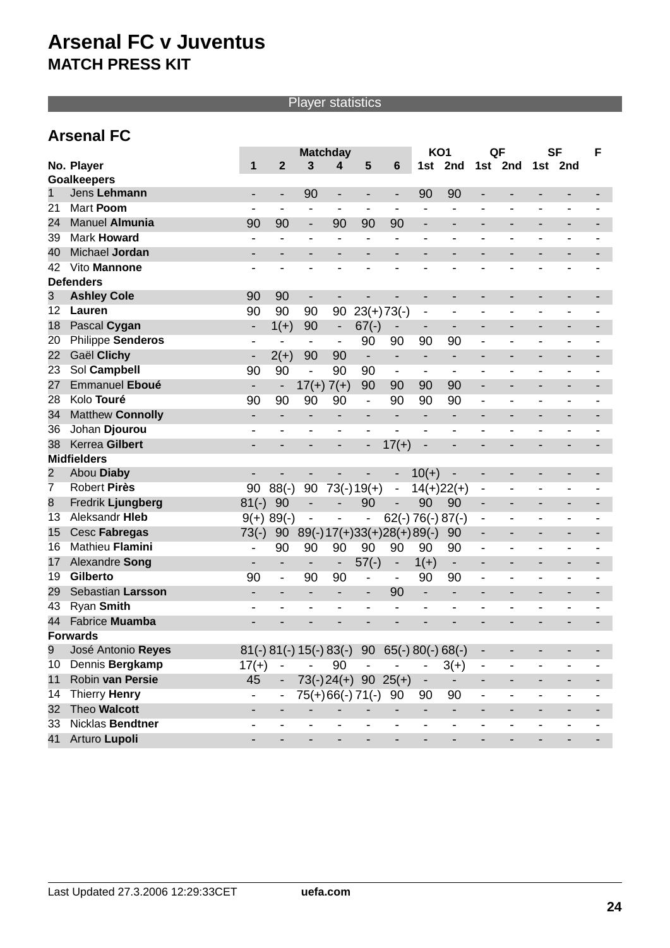## Player statistics

## **Arsenal FC**

|                |                         | <b>Matchday</b>          |                          |                              | KO <sub>1</sub>          |                                                | QF                       |                              | <b>SF</b>                |                              | F                            |                          |         |  |
|----------------|-------------------------|--------------------------|--------------------------|------------------------------|--------------------------|------------------------------------------------|--------------------------|------------------------------|--------------------------|------------------------------|------------------------------|--------------------------|---------|--|
|                | No. Player              | 1                        | $\overline{2}$           | $\overline{3}$               | 4                        | 5                                              | 6                        | 1st                          | 2nd                      |                              | 1st 2nd                      |                          | 1st 2nd |  |
|                | <b>Goalkeepers</b>      |                          |                          |                              |                          |                                                |                          |                              |                          |                              |                              |                          |         |  |
| 1              | Jens Lehmann            |                          |                          | 90                           | -                        | -                                              | -                        | 90                           | 90                       |                              |                              |                          |         |  |
| 21             | Mart Poom               |                          | $\blacksquare$           | $\blacksquare$               | $\blacksquare$           |                                                | $\overline{\phantom{0}}$ | $\blacksquare$               |                          |                              | $\blacksquare$               |                          |         |  |
| 24             | Manuel Almunia          | 90                       | 90                       | $\overline{\phantom{0}}$     | 90                       | 90                                             | 90                       | $\qquad \qquad \blacksquare$ |                          |                              | $\qquad \qquad \blacksquare$ |                          |         |  |
| 39             | <b>Mark Howard</b>      |                          | $\overline{\phantom{a}}$ |                              | $\overline{\phantom{a}}$ | $\overline{\phantom{a}}$                       |                          | $\blacksquare$               | $\overline{\phantom{0}}$ | $\blacksquare$               | $\overline{\phantom{0}}$     |                          |         |  |
| 40             | Michael Jordan          |                          |                          |                              |                          | $\overline{a}$                                 |                          |                              |                          |                              | $\overline{a}$               |                          |         |  |
| 42             | Vito Mannone            |                          |                          |                              |                          | -                                              |                          |                              |                          |                              |                              |                          |         |  |
|                | <b>Defenders</b>        |                          |                          |                              |                          |                                                |                          |                              |                          |                              |                              |                          |         |  |
| 3              | <b>Ashley Cole</b>      | 90                       | 90                       | -                            |                          |                                                |                          | $\qquad \qquad$              |                          |                              | $\qquad \qquad \blacksquare$ | -                        |         |  |
| 12             | Lauren                  | 90                       | 90                       | 90                           | 90                       | $23(+)73(-)$                                   |                          | $\overline{\phantom{a}}$     | $\overline{\phantom{0}}$ |                              |                              |                          |         |  |
| 18             | Pascal Cygan            | $\overline{\phantom{a}}$ | $1(+)$                   | 90                           | $\overline{\phantom{a}}$ | $67(-)$                                        | $\overline{\phantom{a}}$ | $\overline{\phantom{a}}$     | $\overline{\phantom{0}}$ |                              | $\qquad \qquad \blacksquare$ |                          |         |  |
| 20             | Philippe Senderos       |                          | $\overline{\phantom{a}}$ | -                            | $\overline{\phantom{a}}$ | 90                                             | 90                       | 90                           | 90                       |                              | $\overline{a}$               |                          |         |  |
| 22             | Gaël Clichy             | $\overline{\phantom{a}}$ | $2(+)$                   | 90                           | 90                       | $\overline{\phantom{a}}$                       | $\overline{\phantom{0}}$ | $\overline{\phantom{a}}$     | -                        |                              | -                            |                          |         |  |
| 23             | Sol Campbell            | 90                       | 90                       | $\overline{\phantom{0}}$     | 90                       | 90                                             | $\overline{\phantom{a}}$ | $\overline{\phantom{a}}$     | -                        |                              |                              |                          |         |  |
| 27             | Emmanuel Eboué          | $\overline{\phantom{a}}$ | $\overline{\phantom{a}}$ | $17(+) 7(+)$                 |                          | 90                                             | 90                       | 90                           | 90                       | -                            | $\overline{a}$               |                          |         |  |
| 28             | Kolo Touré              | 90                       | 90                       | 90                           | 90                       | $\qquad \qquad \blacksquare$                   | 90                       | 90                           | 90                       | $\overline{\phantom{0}}$     | $\overline{a}$               |                          |         |  |
| 34             | <b>Matthew Connolly</b> |                          |                          |                              |                          | $\qquad \qquad \blacksquare$                   |                          |                              |                          |                              |                              |                          |         |  |
| 36             | Johan Djourou           |                          |                          |                              |                          | $\overline{\phantom{a}}$                       | $\overline{\phantom{0}}$ |                              |                          |                              |                              |                          |         |  |
| 38             | Kerrea Gilbert          |                          |                          |                              |                          | -                                              | $17(+)$                  | $\qquad \qquad \blacksquare$ |                          |                              |                              |                          |         |  |
|                | <b>Midfielders</b>      |                          |                          |                              |                          |                                                |                          |                              |                          |                              |                              |                          |         |  |
| $\overline{2}$ | Abou Diaby              |                          |                          |                              |                          |                                                | $\overline{\phantom{m}}$ | $10(+)$                      |                          |                              | $\overline{\phantom{0}}$     |                          |         |  |
| 7              | <b>Robert Pirès</b>     | 90                       | $88(-)$                  | 90                           |                          | $73(-)19(+)$                                   | $\blacksquare$           | $14(+)22(+)$                 |                          | $\qquad \qquad \blacksquare$ | $\overline{\phantom{0}}$     |                          |         |  |
| 8              | Fredrik Ljungberg       | $81(-)$                  | 90                       | $\overline{\phantom{0}}$     |                          | 90                                             |                          | 90                           | 90                       |                              |                              |                          |         |  |
| 13             | Aleksandr Hieb          |                          | $9(+) 89(-)$             | $\qquad \qquad \blacksquare$ |                          | $\qquad \qquad \blacksquare$                   |                          | $62(-) 76(-) 87(-)$          |                          | $\qquad \qquad \blacksquare$ | -                            |                          |         |  |
| 15             | Cesc Fabregas           | $73(-)$                  | 90                       |                              |                          | $89(-)17(+)33(+)28(+)89(-)$                    |                          |                              | 90                       | $\overline{\phantom{a}}$     | -                            | -                        |         |  |
| 16             | Mathieu Flamini         | $\overline{\phantom{a}}$ | 90                       | 90                           | 90                       | 90                                             | 90                       | 90                           | 90                       |                              |                              |                          |         |  |
| 17             | Alexandre Song          | $\overline{\phantom{a}}$ |                          | $\overline{\phantom{0}}$     | $\overline{\phantom{a}}$ | $57(-)$                                        | $\overline{\phantom{a}}$ | $1(+)$                       | $\overline{\phantom{a}}$ |                              | $\overline{a}$               |                          |         |  |
| 19             | <b>Gilberto</b>         | 90                       | $\overline{\phantom{a}}$ | 90                           | 90                       | -                                              |                          | 90                           | 90                       | -                            |                              |                          |         |  |
| 29             | Sebastian Larsson       | -                        | $\overline{\phantom{a}}$ | -                            | -                        | $\overline{\phantom{a}}$                       | 90                       | -                            | $\overline{\phantom{a}}$ | -                            | $\qquad \qquad \blacksquare$ | -                        |         |  |
| 43             | Ryan Smith              | $\overline{\phantom{a}}$ |                          |                              | $\overline{\phantom{0}}$ | -                                              | $\overline{a}$           | $\overline{\phantom{a}}$     | -                        | -                            | -                            |                          |         |  |
| 44             | Fabrice Muamba          |                          |                          |                              |                          |                                                |                          |                              |                          |                              |                              |                          |         |  |
|                | <b>Forwards</b>         |                          |                          |                              |                          |                                                |                          |                              |                          |                              |                              |                          |         |  |
| 9              | José Antonio Reyes      |                          |                          |                              |                          | $81(-) 81(-) 15(-) 83(-) 90 65(-) 80(-) 68(-)$ |                          |                              |                          |                              |                              |                          |         |  |
| 10             | Dennis Bergkamp         | $17(+)$                  | $\overline{\phantom{a}}$ |                              | 90                       |                                                |                          |                              | $3(+)$                   | $\overline{\phantom{a}}$     |                              |                          |         |  |
| 11             | Robin van Persie        | 45                       | $\blacksquare$           | $73(-)24(+)$                 |                          |                                                | $90 \t25(+)$             | -                            | $\overline{\phantom{a}}$ | $\overline{\phantom{a}}$     | $\qquad \qquad \blacksquare$ | $\overline{\phantom{0}}$ |         |  |
| 14             | Thierry Henry           | $\overline{\phantom{0}}$ | $\overline{\phantom{a}}$ |                              |                          | 75(+)66(-)71(-)                                | 90                       | 90                           | 90                       | -                            | $\qquad \qquad \blacksquare$ | -                        |         |  |
| 32             | Theo Walcott            | $\overline{\phantom{0}}$ |                          | $\overline{a}$               |                          |                                                | $\overline{\phantom{0}}$ | $\overline{\phantom{a}}$     | $\overline{\phantom{a}}$ | -                            | -                            |                          |         |  |
| 33             | Nicklas Bendtner        |                          |                          |                              |                          |                                                | $\overline{a}$           | $\overline{\phantom{a}}$     | $\overline{\phantom{0}}$ | $\qquad \qquad \blacksquare$ | $\overline{\phantom{0}}$     |                          |         |  |
| 41             | Arturo Lupoli           |                          |                          |                              |                          | $\overline{\phantom{a}}$                       |                          | $\overline{a}$               | $\overline{\phantom{0}}$ |                              |                              |                          |         |  |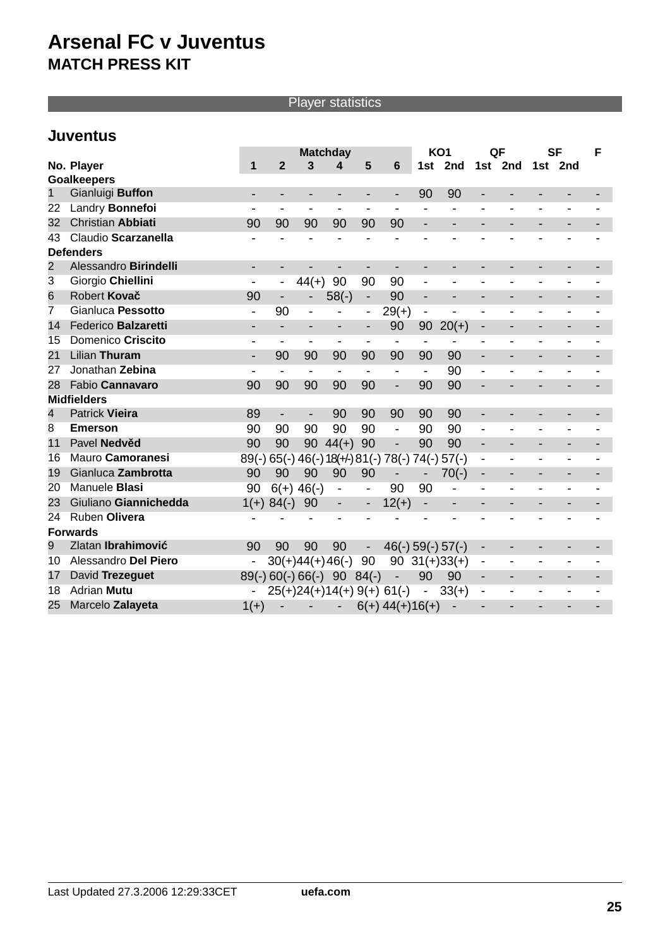## Player statistics

## **Juventus**

|              |                          | <b>Matchday</b>          |                              |                              | KO <sub>1</sub>          |                              | QF                                      |                          | <b>SF</b>                |                              | F                            |                          |                          |  |
|--------------|--------------------------|--------------------------|------------------------------|------------------------------|--------------------------|------------------------------|-----------------------------------------|--------------------------|--------------------------|------------------------------|------------------------------|--------------------------|--------------------------|--|
|              | No. Player               | 1                        | $\overline{2}$               | $\overline{3}$               | 4                        | 5                            | $6\phantom{1}$                          | 1st                      | 2nd                      | 1st                          | 2nd                          |                          | 1st 2nd                  |  |
|              | <b>Goalkeepers</b>       |                          |                              |                              |                          |                              |                                         |                          |                          |                              |                              |                          |                          |  |
| $\mathbf{1}$ | Gianluigi Buffon         | $\blacksquare$           |                              |                              |                          | -                            | $\overline{\phantom{0}}$                | 90                       | 90                       |                              |                              |                          |                          |  |
| 22           | Landry Bonnefoi          |                          | $\overline{\phantom{a}}$     | $\overline{\phantom{a}}$     |                          | -                            |                                         |                          |                          |                              |                              |                          |                          |  |
| 32           | <b>Christian Abbiati</b> | 90                       | 90                           | 90                           | 90                       | 90                           | 90                                      | $\overline{\phantom{a}}$ |                          |                              | $\qquad \qquad \blacksquare$ |                          |                          |  |
| 43           | Claudio Scarzanella      |                          |                              |                              |                          |                              |                                         |                          |                          |                              |                              |                          |                          |  |
|              | <b>Defenders</b>         |                          |                              |                              |                          |                              |                                         |                          |                          |                              |                              |                          |                          |  |
| 2            | Alessandro Birindelli    | $\overline{\phantom{a}}$ |                              |                              |                          | $\overline{\phantom{a}}$     |                                         | -                        |                          |                              | $\qquad \qquad \blacksquare$ |                          |                          |  |
| 3            | Giorgio Chiellini        |                          | $\blacksquare$               | $44(+)$                      | 90                       | 90                           | 90                                      | $\overline{a}$           |                          |                              |                              |                          |                          |  |
| 6            | Robert Kova              | 90                       | $\overline{\phantom{a}}$     |                              | $58(-)$                  | $\overline{\phantom{a}}$     | 90                                      | $\overline{\phantom{a}}$ |                          |                              | $\overline{\phantom{a}}$     |                          |                          |  |
| 7            | Gianluca Pessotto        |                          | 90                           | $\qquad \qquad \blacksquare$ | $\overline{\phantom{0}}$ | $\overline{\phantom{a}}$     | $29(+)$                                 | $\overline{\phantom{a}}$ | $\overline{\phantom{0}}$ |                              |                              |                          |                          |  |
| 14           | Federico Balzaretti      |                          |                              |                              | $\overline{\phantom{a}}$ | $\overline{\phantom{a}}$     | 90                                      | 90                       | $20(+)$                  |                              |                              |                          |                          |  |
| 15           | Domenico Criscito        |                          | $\overline{\phantom{a}}$     | $\qquad \qquad \blacksquare$ | $\overline{\phantom{a}}$ |                              | $\overline{a}$                          |                          |                          |                              |                              |                          |                          |  |
| 21           | Lilian Thuram            | $\blacksquare$           | 90                           | 90                           | 90                       | 90                           | 90                                      | 90                       | 90                       | $\blacksquare$               | $\overline{\phantom{0}}$     |                          |                          |  |
| 27           | Jonathan Zebina          |                          | $\blacksquare$               | -                            | -                        | -                            | $\blacksquare$                          | $\overline{\phantom{a}}$ | 90                       | $\overline{\phantom{0}}$     |                              |                          |                          |  |
| 28           | Fabio Cannavaro          | 90                       | 90                           | 90                           | 90                       | 90                           | $\overline{\phantom{0}}$                | 90                       | 90                       |                              |                              |                          |                          |  |
|              | <b>Midfielders</b>       |                          |                              |                              |                          |                              |                                         |                          |                          |                              |                              |                          |                          |  |
| 4            | <b>Patrick Vieira</b>    | 89                       | $\overline{\phantom{a}}$     | $\qquad \qquad \blacksquare$ | 90                       | 90                           | 90                                      | 90                       | 90                       |                              | $\qquad \qquad \blacksquare$ |                          |                          |  |
| 8            | <b>Emerson</b>           | 90                       | 90                           | 90                           | 90                       | 90                           | $\overline{\phantom{0}}$                | 90                       | 90                       | $\overline{\phantom{0}}$     | $\overline{\phantom{0}}$     |                          |                          |  |
| 11           | Pavel Nedv d             | 90                       | 90                           | 90                           | $44(+)$                  | 90                           | $\overline{\phantom{0}}$                | 90                       | 90                       | $\overline{\phantom{a}}$     | $\overline{\phantom{0}}$     | $\overline{\phantom{0}}$ | $\overline{\phantom{a}}$ |  |
| 16           | Mauro Camoranesi         | $89(-)$                  |                              |                              |                          |                              | $65(-)$ 46(-) 18(+/-) 81(-) 78(-) 74(-) |                          | $57(-)$                  | $\qquad \qquad \blacksquare$ | $\overline{\phantom{0}}$     |                          |                          |  |
| 19           | Gianluca Zambrotta       | 90                       | 90                           | 90                           | 90                       | 90                           | $\overline{\phantom{0}}$                | $\overline{\phantom{a}}$ | $70(-)$                  | $\overline{\phantom{a}}$     | $\overline{a}$               |                          |                          |  |
| 20           | Manuele <b>Blasi</b>     | 90                       |                              | $6(+)$ 46(-)                 | $\overline{\phantom{a}}$ | $\qquad \qquad \blacksquare$ | 90                                      | 90                       | $\overline{a}$           |                              |                              |                          |                          |  |
| 23           | Giuliano Giannichedda    | $1(+)$                   | $84(-)$                      | 90                           | $\overline{\phantom{a}}$ | $\overline{\phantom{a}}$     | $12(+)$                                 | $\overline{\phantom{a}}$ | $\overline{\phantom{0}}$ |                              | $\overline{\phantom{0}}$     |                          |                          |  |
| 24           | Ruben Olivera            |                          |                              |                              |                          |                              |                                         |                          |                          |                              |                              |                          |                          |  |
|              | <b>Forwards</b>          |                          |                              |                              |                          |                              |                                         |                          |                          |                              |                              |                          |                          |  |
| 9            | Zlatan Ibrahimovi        | 90                       | 90                           | 90                           | 90                       | $\overline{\phantom{a}}$     |                                         |                          | $46(-) 59(-) 57(-)$      | $\overline{\phantom{a}}$     | $\overline{\phantom{a}}$     | -                        |                          |  |
| 10           | Alessandro Del Piero     | $\overline{\phantom{0}}$ |                              | $30(+)44(+)46(-)$            |                          | 90                           |                                         |                          | $90 \quad 31(+)33(+)$    | $\overline{a}$               | $\overline{\phantom{0}}$     |                          |                          |  |
| 17           | David Trezeguet          |                          | $89(-) 60(-) 66(-) 90 84(-)$ |                              |                          |                              | $\overline{\phantom{0}}$                | 90                       | 90                       |                              | $\overline{a}$               |                          |                          |  |
| 18           | <b>Adrian Mutu</b>       |                          |                              |                              |                          |                              | $25(+)24(+)14(+)9(+)61(-)$              | $\overline{\phantom{a}}$ | $33(+)$                  | $\qquad \qquad \blacksquare$ | $\overline{\phantom{0}}$     |                          |                          |  |
| 25           | Marcelo Zalayeta         | $1(+)$                   | $\blacksquare$               | $\sim 100$ km s $^{-1}$      | $\sim$ 10 $\pm$          |                              | $6(+)$ 44(+)16(+)                       |                          | $\blacksquare$           |                              |                              |                          |                          |  |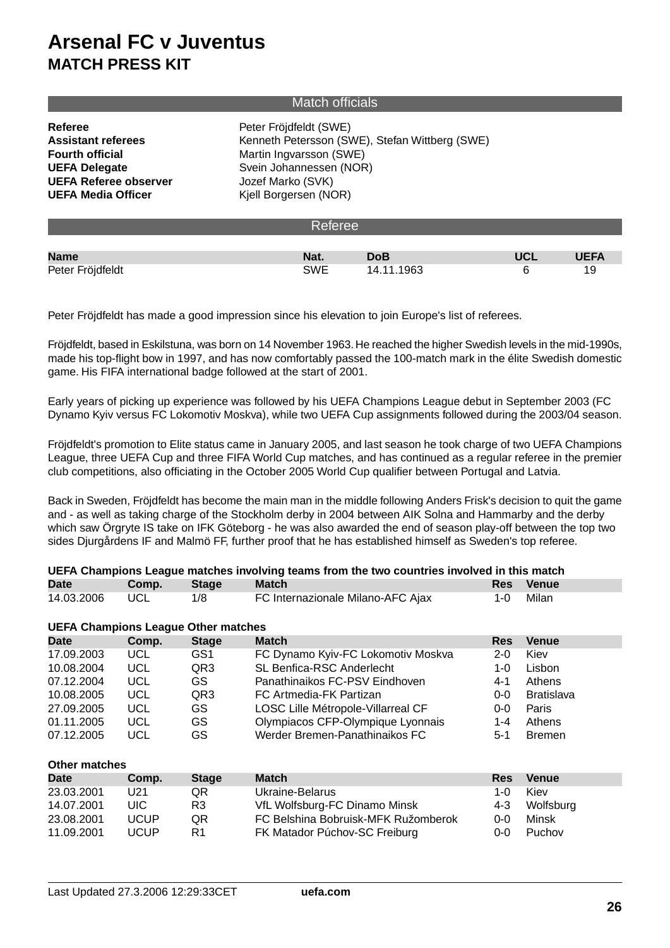## Match officials

| Referee                      | Peter Fröjdfeldt (SWE)                         |
|------------------------------|------------------------------------------------|
| <b>Assistant referees</b>    | Kenneth Petersson (SWE), Stefan Wittberg (SWE) |
| <b>Fourth official</b>       | Martin Ingvarsson (SWE)                        |
| <b>UEFA Delegate</b>         | Svein Johannessen (NOR)                        |
| <b>UEFA Referee observer</b> | Jozef Marko (SVK)                              |
| <b>UEFA Media Officer</b>    | Kjell Borgersen (NOR)                          |
|                              |                                                |

| <b>Referee</b>   |            |            |            |             |  |  |  |  |
|------------------|------------|------------|------------|-------------|--|--|--|--|
|                  |            |            |            |             |  |  |  |  |
| <b>Name</b>      | Nat.       | <b>DoB</b> | <b>UCL</b> | <b>UEFA</b> |  |  |  |  |
| Peter Fröjdfeldt | <b>SWE</b> | 14.11.1963 |            | 19          |  |  |  |  |

Peter Fröjdfeldt has made a good impression since his elevation to join Europe's list of referees.

Fröjdfeldt, based in Eskilstuna, was born on 14 November 1963. He reached the higher Swedish levels in the mid-1990s, made his top-flight bow in 1997, and has now comfortably passed the 100-match mark in the élite Swedish domestic game. His FIFA international badge followed at the start of 2001.

Early years of picking up experience was followed by his UEFA Champions League debut in September 2003 (FC Dynamo Kyiv versus FC Lokomotiv Moskva), while two UEFA Cup assignments followed during the 2003/04 season.

Fröjdfeldt's promotion to Elite status came in January 2005, and last season he took charge of two UEFA Champions League, three UEFA Cup and three FIFA World Cup matches, and has continued as a regular referee in the premier club competitions, also officiating in the October 2005 World Cup qualifier between Portugal and Latvia.

Back in Sweden, Fröjdfeldt has become the main man in the middle following Anders Frisk's decision to quit the game and - as well as taking charge of the Stockholm derby in 2004 between AIK Solna and Hammarby and the derby which saw Örgryte IS take on IFK Göteborg - he was also awarded the end of season play-off between the top two sides Djurgårdens IF and Malmö FF, further proof that he has established himself as Sweden's top referee.

| UEFA Champions League matches involving teams from the two countries involved in this match |            |                 |                                    |            |                   |  |  |  |  |  |
|---------------------------------------------------------------------------------------------|------------|-----------------|------------------------------------|------------|-------------------|--|--|--|--|--|
| <b>Date</b>                                                                                 | Comp.      | <b>Stage</b>    | <b>Match</b>                       | <b>Res</b> | <b>Venue</b>      |  |  |  |  |  |
| 14.03.2006                                                                                  | UCL        | 1/8             | FC Internazionale Milano-AFC Ajax  |            | Milan             |  |  |  |  |  |
| <b>UEFA Champions League Other matches</b>                                                  |            |                 |                                    |            |                   |  |  |  |  |  |
| <b>Date</b>                                                                                 | Comp.      | <b>Stage</b>    | <b>Match</b>                       | <b>Res</b> | <b>Venue</b>      |  |  |  |  |  |
| 17.09.2003                                                                                  | <b>UCL</b> | GS <sub>1</sub> | FC Dynamo Kyiv-FC Lokomotiv Moskva | $2 - 0$    | Kiev              |  |  |  |  |  |
| 10.08.2004                                                                                  | <b>UCL</b> | QR <sub>3</sub> | SL Benfica-RSC Anderlecht          | 1-0        | Lisbon            |  |  |  |  |  |
| 07.12.2004                                                                                  | <b>UCL</b> | GS              | Panathinaikos FC-PSV Eindhoven     | $4 - 1$    | Athens            |  |  |  |  |  |
| 10.08.2005                                                                                  | <b>UCL</b> | QR <sub>3</sub> | FC Artmedia-FK Partizan            | $0 - 0$    | <b>Bratislava</b> |  |  |  |  |  |
| 27.09.2005                                                                                  | <b>UCL</b> | GS              | LOSC Lille Métropole-Villarreal CF | $0 - 0$    | Paris             |  |  |  |  |  |
| 01.11.2005                                                                                  | <b>UCL</b> | GS              | Olympiacos CFP-Olympique Lyonnais  | 1-4        | Athens            |  |  |  |  |  |
| 07.12.2005                                                                                  | UCL        | GS              | Werder Bremen-Panathinaikos FC     | $5-1$      | <b>Bremen</b>     |  |  |  |  |  |

| <b>Other matches</b> |             |              |                                     |            |              |  |  |  |  |  |
|----------------------|-------------|--------------|-------------------------------------|------------|--------------|--|--|--|--|--|
| <b>Date</b>          | Comp.       | <b>Stage</b> | <b>Match</b>                        | <b>Res</b> | <b>Venue</b> |  |  |  |  |  |
| 23.03.2001           | U21         | QR           | Ukraine-Belarus                     | 1-0        | Kiev         |  |  |  |  |  |
| 14.07.2001           | UIC.        | R3           | VfL Wolfsburg-FC Dinamo Minsk       | 4-3        | Wolfsburg    |  |  |  |  |  |
| 23.08.2001           | UCUP        | QR           | FC Belshina Bobruisk-MFK Ružomberok | 0-0        | Minsk        |  |  |  |  |  |
| 11.09.2001           | <b>UCUP</b> | R1           | FK Matador Púchov-SC Freiburg       | 0-0        | Puchov       |  |  |  |  |  |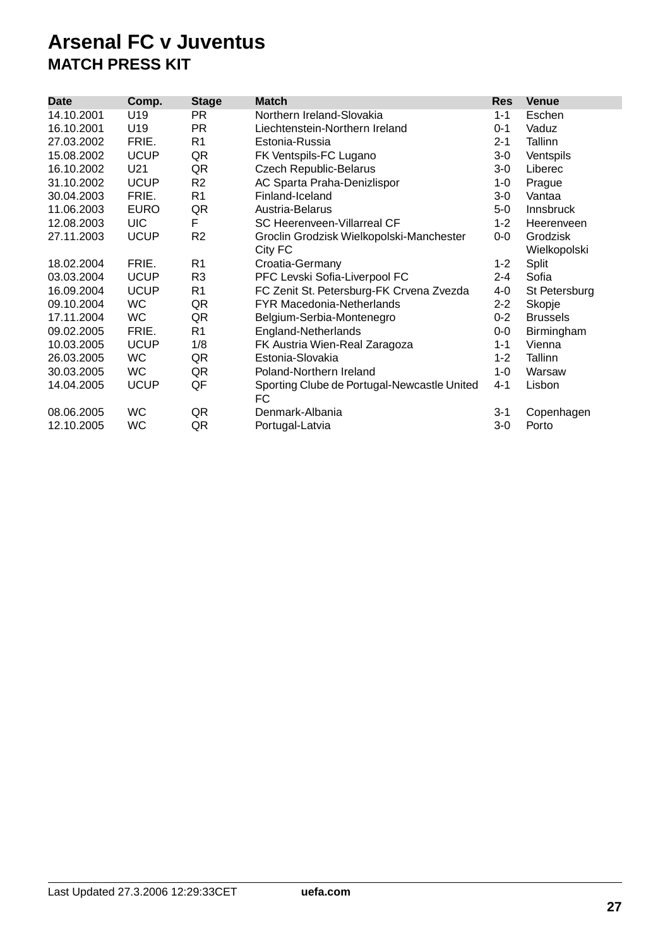| <b>Date</b> | Comp.       | <b>Stage</b>   | <b>Match</b>                                | <b>Res</b> | <b>Venue</b>     |
|-------------|-------------|----------------|---------------------------------------------|------------|------------------|
| 14.10.2001  | U19         | PR.            | Northern Ireland-Slovakia                   | $1 - 1$    | Eschen           |
| 16.10.2001  | U19         | PR.            | Liechtenstein-Northern Ireland              | $0 - 1$    | Vaduz            |
| 27.03.2002  | FRIE.       | R <sub>1</sub> | Estonia-Russia                              | $2 - 1$    | Tallinn          |
| 15.08.2002  | <b>UCUP</b> | QR             | FK Ventspils-FC Lugano                      | $3-0$      | Ventspils        |
| 16.10.2002  | U21         | QR             | <b>Czech Republic-Belarus</b>               | $3-0$      | Liberec          |
| 31.10.2002  | <b>UCUP</b> | R <sub>2</sub> | AC Sparta Praha-Denizlispor                 | 1-0        | Prague           |
| 30.04.2003  | FRIE.       | R <sub>1</sub> | Finland-Iceland                             | $3-0$      | Vantaa           |
| 11.06.2003  | <b>EURO</b> | QR             | Austria-Belarus                             | $5-0$      | <b>Innsbruck</b> |
| 12.08.2003  | <b>UIC</b>  | F              | SC Heerenveen-Villarreal CF                 | $1 - 2$    | Heerenveen       |
| 27.11.2003  | <b>UCUP</b> | R <sub>2</sub> | Groclin Grodzisk Wielkopolski-Manchester    | $0-0$      | Grodzisk         |
|             |             |                | City FC                                     |            | Wielkopolski     |
| 18.02.2004  | FRIE.       | R <sub>1</sub> | Croatia-Germany                             | $1 - 2$    | Split            |
| 03.03.2004  | <b>UCUP</b> | R <sub>3</sub> | PFC Levski Sofia-Liverpool FC               | $2 - 4$    | Sofia            |
| 16.09.2004  | <b>UCUP</b> | R <sub>1</sub> | FC Zenit St. Petersburg-FK Crvena Zvezda    | 4-0        | St Petersburg    |
| 09.10.2004  | <b>WC</b>   | QR             | <b>FYR Macedonia-Netherlands</b>            | $2 - 2$    | Skopje           |
| 17.11.2004  | <b>WC</b>   | QR             | Belgium-Serbia-Montenegro                   | $0 - 2$    | <b>Brussels</b>  |
| 09.02.2005  | FRIE.       | R <sub>1</sub> | England-Netherlands                         | $0-0$      | Birmingham       |
| 10.03.2005  | <b>UCUP</b> | 1/8            | FK Austria Wien-Real Zaragoza               | $1 - 1$    | Vienna           |
| 26.03.2005  | <b>WC</b>   | QR             | Estonia-Slovakia                            | $1 - 2$    | Tallinn          |
| 30.03.2005  | <b>WC</b>   | QR             | Poland-Northern Ireland                     | 1-0        | Warsaw           |
| 14.04.2005  | <b>UCUP</b> | QF             | Sporting Clube de Portugal-Newcastle United | $4 - 1$    | Lisbon           |
|             |             |                | FC                                          |            |                  |
| 08.06.2005  | <b>WC</b>   | QR             | Denmark-Albania                             | $3 - 1$    | Copenhagen       |
| 12.10.2005  | <b>WC</b>   | QR             | Portugal-Latvia                             | 3-0        | Porto            |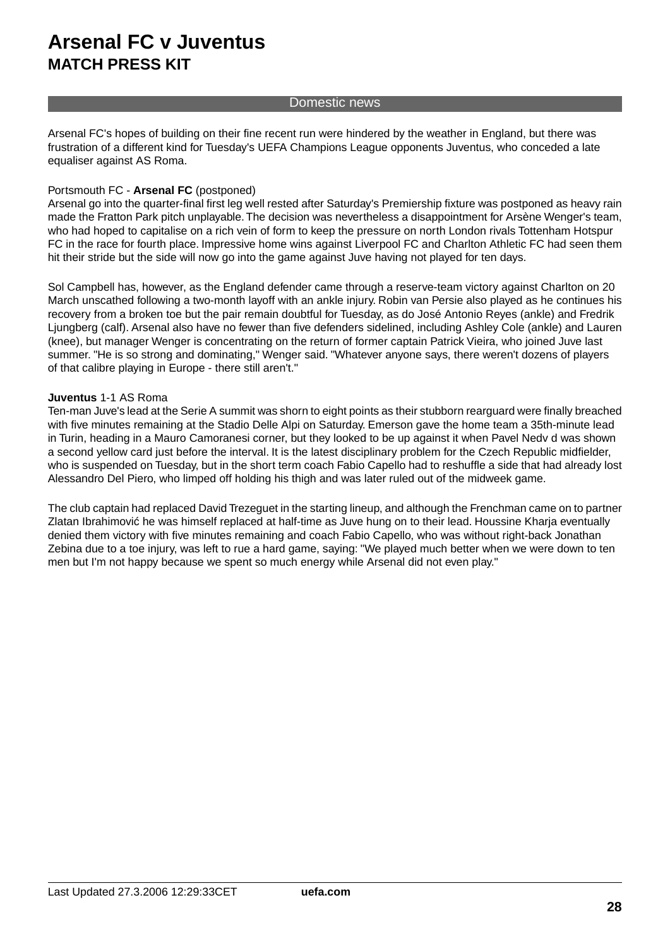### Domestic news

Arsenal FC's hopes of building on their fine recent run were hindered by the weather in England, but there was frustration of a different kind for Tuesday's UEFA Champions League opponents Juventus, who conceded a late equaliser against AS Roma.

### Portsmouth FC - **Arsenal FC** (postponed)

Arsenal go into the quarter-final first leg well rested after Saturday's Premiership fixture was postponed as heavy rain made the Fratton Park pitch unplayable.The decision was nevertheless a disappointment for Arsène Wenger's team, who had hoped to capitalise on a rich vein of form to keep the pressure on north London rivals Tottenham Hotspur FC in the race for fourth place. Impressive home wins against Liverpool FC and Charlton Athletic FC had seen them hit their stride but the side will now go into the game against Juve having not played for ten days.

Sol Campbell has, however, as the England defender came through a reserve-team victory against Charlton on 20 March unscathed following a two-month layoff with an ankle injury. Robin van Persie also played as he continues his recovery from a broken toe but the pair remain doubtful for Tuesday, as do José Antonio Reyes (ankle) and Fredrik Ljungberg (calf). Arsenal also have no fewer than five defenders sidelined, including Ashley Cole (ankle) and Lauren (knee), but manager Wenger is concentrating on the return of former captain Patrick Vieira, who joined Juve last summer. "He is so strong and dominating," Wenger said. "Whatever anyone says, there weren't dozens of players of that calibre playing in Europe - there still aren't."

### **Juventus** 1-1 AS Roma

Ten-man Juve's lead at the Serie A summit was shorn to eight points as their stubborn rearguard were finally breached with five minutes remaining at the Stadio Delle Alpi on Saturday. Emerson gave the home team a 35th-minute lead in Turin, heading in a Mauro Camoranesi corner, but they looked to be up against it when Pavel Nedv d was shown a second yellow card just before the interval. It is the latest disciplinary problem for the Czech Republic midfielder, who is suspended on Tuesday, but in the short term coach Fabio Capello had to reshuffle a side that had already lost Alessandro Del Piero, who limped off holding his thigh and was later ruled out of the midweek game.

The club captain had replaced David Trezeguet in the starting lineup, and although the Frenchman came on to partner Zlatan Ibrahimovi he was himself replaced at half-time as Juve hung on to their lead. Houssine Kharja eventually denied them victory with five minutes remaining and coach Fabio Capello, who was without right-back Jonathan Zebina due to a toe injury, was left to rue a hard game, saying: "We played much better when we were down to ten men but I'm not happy because we spent so much energy while Arsenal did not even play."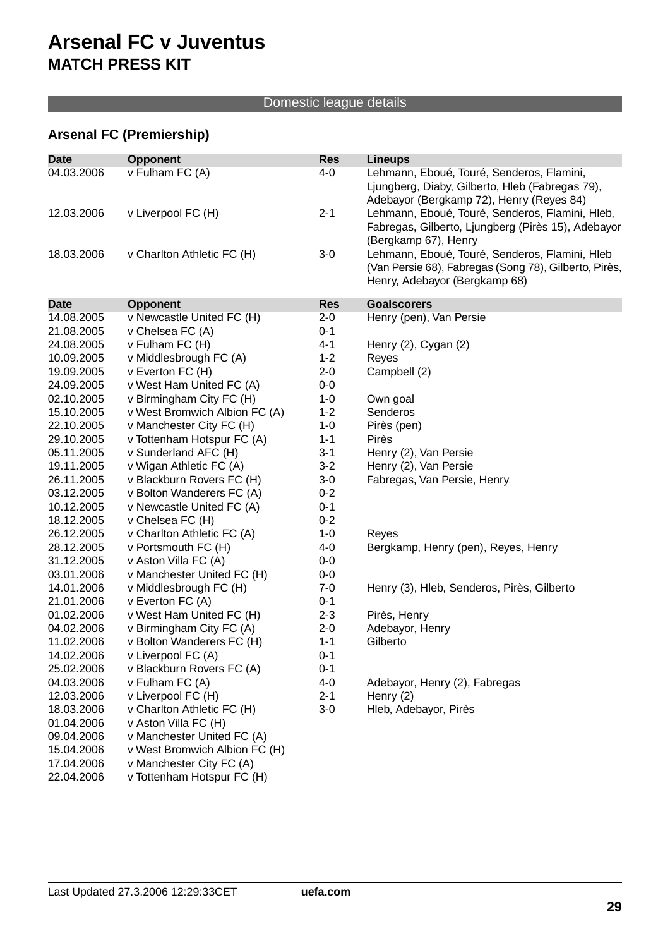## Domestic league details

## **Arsenal FC (Premiership)**

| <b>Date</b> | <b>Opponent</b>               | <b>Res</b> | <b>Lineups</b>                                        |
|-------------|-------------------------------|------------|-------------------------------------------------------|
| 04.03.2006  | v Fulham FC (A)               | $4 - 0$    | Lehmann, Eboué, Touré, Senderos, Flamini,             |
|             |                               |            | Ljungberg, Diaby, Gilberto, Hleb (Fabregas 79),       |
|             |                               |            | Adebayor (Bergkamp 72), Henry (Reyes 84)              |
| 12.03.2006  | v Liverpool FC (H)            | $2 - 1$    | Lehmann, Eboué, Touré, Senderos, Flamini, Hleb,       |
|             |                               |            | Fabregas, Gilberto, Ljungberg (Pirès 15), Adebayor    |
|             |                               |            | (Bergkamp 67), Henry                                  |
| 18.03.2006  | v Charlton Athletic FC (H)    | $3-0$      | Lehmann, Eboué, Touré, Senderos, Flamini, Hleb        |
|             |                               |            | (Van Persie 68), Fabregas (Song 78), Gilberto, Pirès, |
|             |                               |            | Henry, Adebayor (Bergkamp 68)                         |
|             |                               |            |                                                       |
| <b>Date</b> | <b>Opponent</b>               | <b>Res</b> | <b>Goalscorers</b>                                    |
| 14.08.2005  | v Newcastle United FC (H)     | $2 - 0$    | Henry (pen), Van Persie                               |
| 21.08.2005  | v Chelsea FC (A)              | $0 - 1$    |                                                       |
| 24.08.2005  | v Fulham FC (H)               | $4 - 1$    | Henry $(2)$ , Cygan $(2)$                             |
| 10.09.2005  | v Middlesbrough FC (A)        | $1 - 2$    | Reyes                                                 |
| 19.09.2005  | v Everton FC (H)              | $2 - 0$    | Campbell (2)                                          |
| 24.09.2005  | v West Ham United FC (A)      | $0-0$      |                                                       |
| 02.10.2005  | v Birmingham City FC (H)      | $1 - 0$    | Own goal                                              |
| 15.10.2005  | v West Bromwich Albion FC (A) | $1 - 2$    | Senderos                                              |
| 22.10.2005  | v Manchester City FC (H)      | $1 - 0$    | Pirès (pen)                                           |
| 29.10.2005  | v Tottenham Hotspur FC (A)    | $1 - 1$    | Pirès                                                 |
| 05.11.2005  | v Sunderland AFC (H)          | $3-1$      | Henry (2), Van Persie                                 |
| 19.11.2005  | v Wigan Athletic FC (A)       | $3 - 2$    | Henry (2), Van Persie                                 |
| 26.11.2005  | v Blackburn Rovers FC (H)     | $3-0$      | Fabregas, Van Persie, Henry                           |
| 03.12.2005  | v Bolton Wanderers FC (A)     | $0 - 2$    |                                                       |
| 10.12.2005  | v Newcastle United FC (A)     | $0 - 1$    |                                                       |
| 18.12.2005  | v Chelsea FC (H)              | $0 - 2$    |                                                       |
| 26.12.2005  | v Charlton Athletic FC (A)    | $1 - 0$    | Reyes                                                 |
| 28.12.2005  | v Portsmouth FC (H)           | 4-0        | Bergkamp, Henry (pen), Reyes, Henry                   |
| 31.12.2005  | v Aston Villa FC (A)          | $0-0$      |                                                       |
| 03.01.2006  | v Manchester United FC (H)    | $0-0$      |                                                       |
| 14.01.2006  | v Middlesbrough FC (H)        | $7 - 0$    | Henry (3), Hleb, Senderos, Pirès, Gilberto            |
| 21.01.2006  | v Everton FC (A)              | $0 - 1$    |                                                       |
| 01.02.2006  | v West Ham United FC (H)      | $2 - 3$    | Pirès, Henry                                          |
| 04.02.2006  | v Birmingham City FC (A)      | $2 - 0$    | Adebayor, Henry                                       |
| 11.02.2006  | v Bolton Wanderers FC (H)     | $1 - 1$    | Gilberto                                              |
| 14.02.2006  | v Liverpool FC (A)            | $0 - 1$    |                                                       |
| 25.02.2006  | v Blackburn Rovers FC (A)     | $0 - 1$    |                                                       |
| 04.03.2006  | v Fulham FC (A)               | $4-0$      | Adebayor, Henry (2), Fabregas                         |
| 12.03.2006  | v Liverpool FC (H)            | $2 - 1$    | Henry $(2)$                                           |
| 18.03.2006  | v Charlton Athletic FC (H)    | $3-0$      | Hleb, Adebayor, Pirès                                 |
| 01.04.2006  | v Aston Villa FC (H)          |            |                                                       |
| 09.04.2006  | v Manchester United FC (A)    |            |                                                       |
| 15.04.2006  | v West Bromwich Albion FC (H) |            |                                                       |
| 17.04.2006  | v Manchester City FC (A)      |            |                                                       |
| 22.04.2006  | v Tottenham Hotspur FC (H)    |            |                                                       |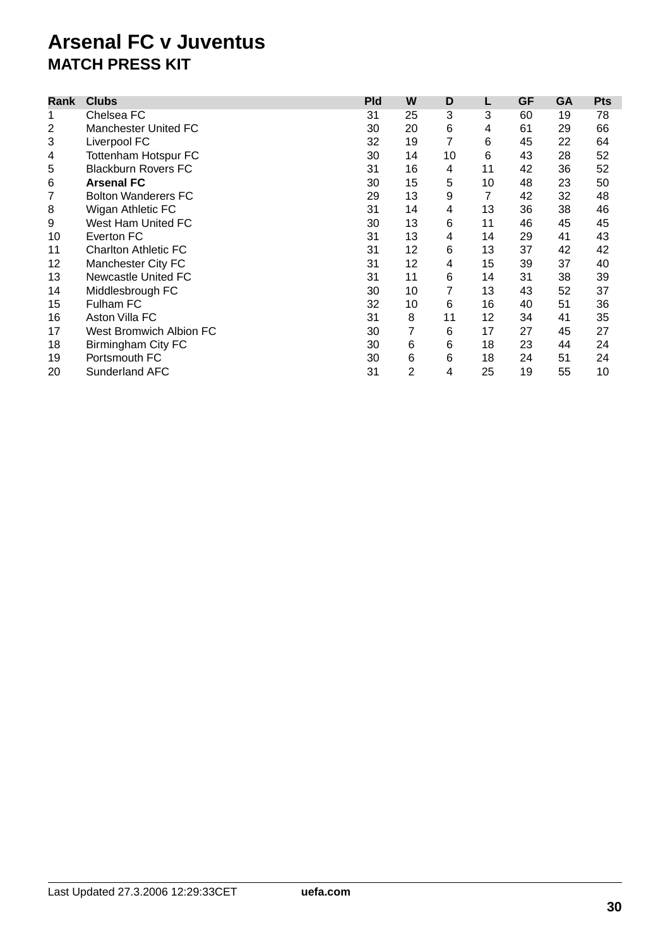| Rank           | <b>Clubs</b>                   | <b>Pld</b> | W  | D  | L              | <b>GF</b> | <b>GA</b> | <b>Pts</b> |
|----------------|--------------------------------|------------|----|----|----------------|-----------|-----------|------------|
| 1              | Chelsea FC                     | 31         | 25 | 3  | 3              | 60        | 19        | 78         |
| $\overline{2}$ | Manchester United FC           | 30         | 20 | 6  | 4              | 61        | 29        | 66         |
| 3              | Liverpool FC                   | 32         | 19 | 7  | 6              | 45        | 22        | 64         |
| 4              | <b>Tottenham Hotspur FC</b>    | 30         | 14 | 10 | 6              | 43        | 28        | 52         |
| 5              | <b>Blackburn Rovers FC</b>     | 31         | 16 | 4  | 11             | 42        | 36        | 52         |
| 6              | <b>Arsenal FC</b>              | 30         | 15 | 5  | 10             | 48        | 23        | 50         |
| 7              | <b>Bolton Wanderers FC</b>     | 29         | 13 | 9  | $\overline{7}$ | 42        | 32        | 48         |
| 8              | Wigan Athletic FC              | 31         | 14 | 4  | 13             | 36        | 38        | 46         |
| 9              | West Ham United FC             | 30         | 13 | 6  | 11             | 46        | 45        | 45         |
| 10             | Everton FC                     | 31         | 13 | 4  | 14             | 29        | 41        | 43         |
| 11             | <b>Charlton Athletic FC</b>    | 31         | 12 | 6  | 13             | 37        | 42        | 42         |
| 12             | Manchester City FC             | 31         | 12 | 4  | 15             | 39        | 37        | 40         |
| 13             | Newcastle United FC            | 31         | 11 | 6  | 14             | 31        | 38        | 39         |
| 14             | Middlesbrough FC               | 30         | 10 | 7  | 13             | 43        | 52        | 37         |
| 15             | Fulham FC                      | 32         | 10 | 6  | 16             | 40        | 51        | 36         |
| 16             | Aston Villa FC                 | 31         | 8  | 11 | 12             | 34        | 41        | 35         |
| 17             | <b>West Bromwich Albion FC</b> | 30         | 7  | 6  | 17             | 27        | 45        | 27         |
| 18             | Birmingham City FC             | 30         | 6  | 6  | 18             | 23        | 44        | 24         |
| 19             | Portsmouth FC                  | 30         | 6  | 6  | 18             | 24        | 51        | 24         |
| 20             | <b>Sunderland AFC</b>          | 31         | 2  | 4  | 25             | 19        | 55        | 10         |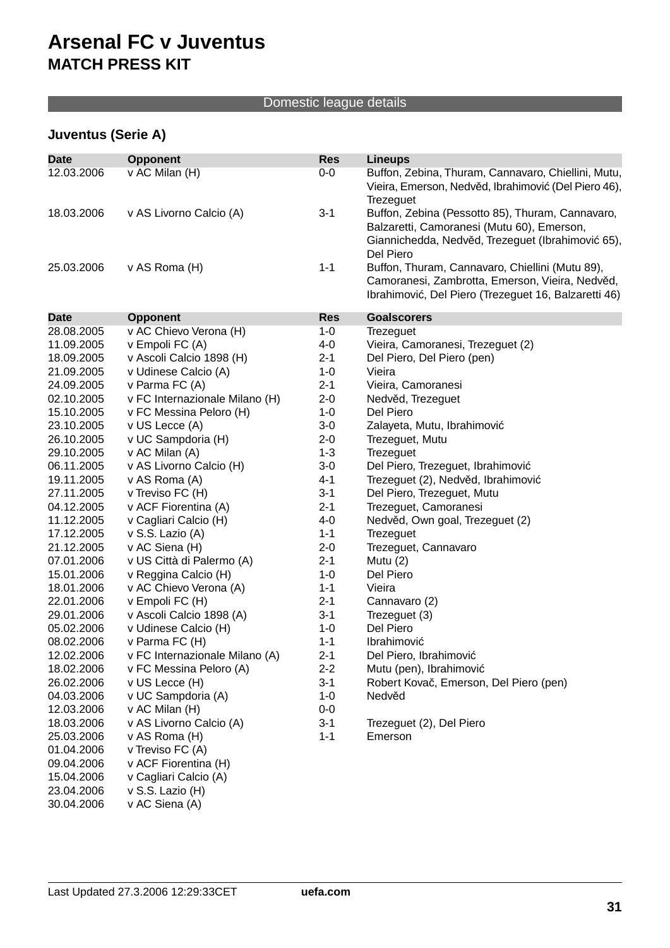## Domestic league details

## **Juventus (Serie A)**

| <b>Date</b> | <b>Opponent</b>                | <b>Res</b> | <b>Lineups</b>                                      |
|-------------|--------------------------------|------------|-----------------------------------------------------|
| 12.03.2006  | v AC Milan (H)                 | $0-0$      | Buffon, Zebina, Thuram, Cannavaro, Chiellini, Mutu, |
|             |                                |            | Vieira, Emerson, Nedv d, Ibrahimovi (Del Piero 46), |
|             |                                |            | Trezeguet                                           |
| 18.03.2006  | v AS Livorno Calcio (A)        | $3-1$      | Buffon, Zebina (Pessotto 85), Thuram, Cannavaro,    |
|             |                                |            | Balzaretti, Camoranesi (Mutu 60), Emerson,          |
|             |                                |            | Giannichedda, Nedv d, Trezeguet (Ibrahimovi 65),    |
|             |                                |            | Del Piero                                           |
| 25.03.2006  | v AS Roma (H)                  | $1 - 1$    | Buffon, Thuram, Cannavaro, Chiellini (Mutu 89),     |
|             |                                |            | Camoranesi, Zambrotta, Emerson, Vieira, Nedv d,     |
|             |                                |            | Ibrahimovi, Del Piero (Trezeguet 16, Balzaretti 46) |
|             |                                |            |                                                     |
| <b>Date</b> | <b>Opponent</b>                | <b>Res</b> | <b>Goalscorers</b>                                  |
| 28.08.2005  | v AC Chievo Verona (H)         | $1 - 0$    | Trezeguet                                           |
| 11.09.2005  | v Empoli FC (A)                | 4-0        | Vieira, Camoranesi, Trezeguet (2)                   |
| 18.09.2005  | v Ascoli Calcio 1898 (H)       | $2 - 1$    | Del Piero, Del Piero (pen)                          |
| 21.09.2005  | v Udinese Calcio (A)           | $1 - 0$    | Vieira                                              |
| 24.09.2005  | v Parma FC (A)                 | $2 - 1$    | Vieira, Camoranesi                                  |
| 02.10.2005  | v FC Internazionale Milano (H) | $2 - 0$    | Nedv d, Trezeguet                                   |
| 15.10.2005  | v FC Messina Peloro (H)        | $1 - 0$    | Del Piero                                           |
| 23.10.2005  | v US Lecce (A)                 | $3-0$      | Zalayeta, Mutu, Ibrahimovi                          |
| 26.10.2005  | v UC Sampdoria (H)             | $2 - 0$    | Trezeguet, Mutu                                     |
| 29.10.2005  | v AC Milan (A)                 | $1 - 3$    | Trezeguet                                           |
| 06.11.2005  | v AS Livorno Calcio (H)        | $3-0$      | Del Piero, Trezeguet, Ibrahimovi                    |
| 19.11.2005  | v AS Roma (A)                  | $4 - 1$    | Trezeguet (2), Nedv d, Ibrahimovi                   |
| 27.11.2005  | v Treviso FC (H)               | $3-1$      | Del Piero, Trezeguet, Mutu                          |
| 04.12.2005  | v ACF Fiorentina (A)           | $2 - 1$    | Trezeguet, Camoranesi                               |
| 11.12.2005  | v Cagliari Calcio (H)          | $4 - 0$    | Nedv d, Own goal, Trezeguet (2)                     |
| 17.12.2005  | v S.S. Lazio (A)               | $1 - 1$    | Trezeguet                                           |
| 21.12.2005  | v AC Siena (H)                 | $2 - 0$    | Trezeguet, Cannavaro                                |
| 07.01.2006  | v US Città di Palermo (A)      | $2 - 1$    | Mutu (2)                                            |
| 15.01.2006  | v Reggina Calcio (H)           | $1 - 0$    | Del Piero                                           |
| 18.01.2006  | v AC Chievo Verona (A)         | $1 - 1$    | Vieira                                              |
| 22.01.2006  | v Empoli FC (H)                | $2 - 1$    | Cannavaro (2)                                       |
| 29.01.2006  | v Ascoli Calcio 1898 (A)       | $3 - 1$    | Trezeguet (3)                                       |
| 05.02.2006  | v Udinese Calcio (H)           | $1 - 0$    | Del Piero                                           |
| 08.02.2006  | v Parma FC (H)                 | $1 - 1$    | Ibrahimovi                                          |
| 12.02.2006  | v FC Internazionale Milano (A) | $2 - 1$    | Del Piero, Ibrahimovi                               |
| 18.02.2006  | v FC Messina Peloro (A)        | $2 - 2$    | Mutu (pen), Ibrahimovi                              |
| 26.02.2006  | v US Lecce (H)                 | $3-1$      | Robert Kova, Emerson, Del Piero (pen)               |
| 04.03.2006  | v UC Sampdoria (A)             | $1 - 0$    | Nedv d                                              |
| 12.03.2006  | v AC Milan (H)                 | $0-0$      |                                                     |
| 18.03.2006  | v AS Livorno Calcio (A)        | $3-1$      | Trezeguet (2), Del Piero                            |
| 25.03.2006  | v AS Roma (H)                  | $1 - 1$    | Emerson                                             |
| 01.04.2006  | v Treviso FC (A)               |            |                                                     |
| 09.04.2006  | v ACF Fiorentina (H)           |            |                                                     |
| 15.04.2006  | v Cagliari Calcio (A)          |            |                                                     |
| 23.04.2006  | v S.S. Lazio (H)               |            |                                                     |
| 30.04.2006  | v AC Siena (A)                 |            |                                                     |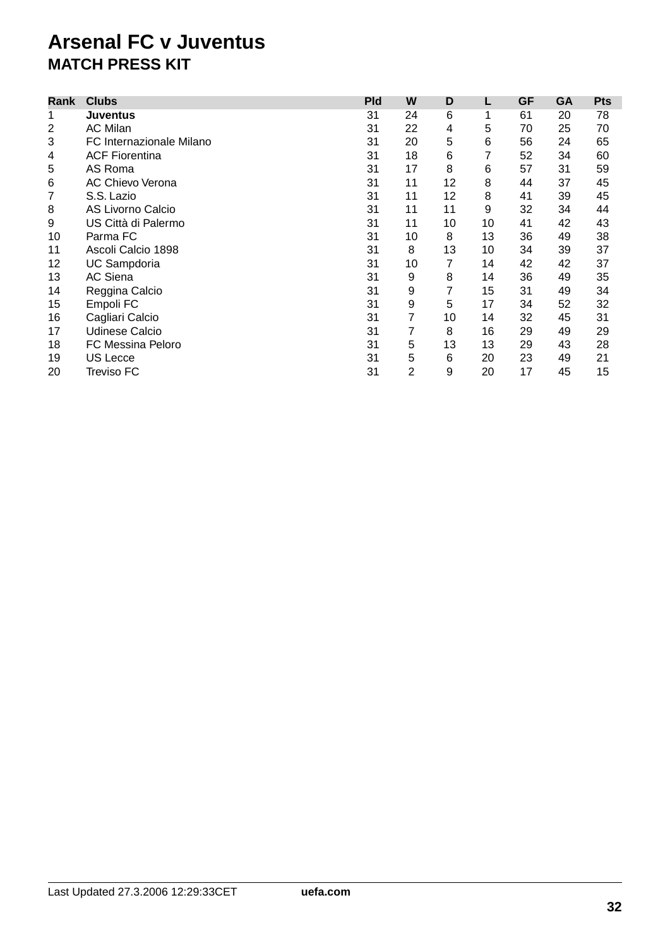| Rank           | <b>Clubs</b>             | <b>Pld</b> | W  | D  | L  | <b>GF</b> | <b>GA</b> | <b>Pts</b> |
|----------------|--------------------------|------------|----|----|----|-----------|-----------|------------|
| 1              | <b>Juventus</b>          | 31         | 24 | 6  |    | 61        | 20        | 78         |
| $\overline{2}$ | <b>AC Milan</b>          | 31         | 22 | 4  | 5  | 70        | 25        | 70         |
| 3              | FC Internazionale Milano | 31         | 20 | 5  | 6  | 56        | 24        | 65         |
| 4              | <b>ACF Fiorentina</b>    | 31         | 18 | 6  | 7  | 52        | 34        | 60         |
| 5              | AS Roma                  | 31         | 17 | 8  | 6  | 57        | 31        | 59         |
| 6              | <b>AC Chievo Verona</b>  | 31         | 11 | 12 | 8  | 44        | 37        | 45         |
| 7              | S.S. Lazio               | 31         | 11 | 12 | 8  | 41        | 39        | 45         |
| 8              | <b>AS Livorno Calcio</b> | 31         | 11 | 11 | 9  | 32        | 34        | 44         |
| 9              | US Città di Palermo      | 31         | 11 | 10 | 10 | 41        | 42        | 43         |
| 10             | Parma FC                 | 31         | 10 | 8  | 13 | 36        | 49        | 38         |
| 11             | Ascoli Calcio 1898       | 31         | 8  | 13 | 10 | 34        | 39        | 37         |
| 12             | UC Sampdoria             | 31         | 10 | 7  | 14 | 42        | 42        | 37         |
| 13             | AC Siena                 | 31         | 9  | 8  | 14 | 36        | 49        | 35         |
| 14             | Reggina Calcio           | 31         | 9  | 7  | 15 | 31        | 49        | 34         |
| 15             | Empoli FC                | 31         | 9  | 5  | 17 | 34        | 52        | 32         |
| 16             | Cagliari Calcio          | 31         | 7  | 10 | 14 | 32        | 45        | 31         |
| 17             | <b>Udinese Calcio</b>    | 31         | 7  | 8  | 16 | 29        | 49        | 29         |
| 18             | <b>FC Messina Peloro</b> | 31         | 5  | 13 | 13 | 29        | 43        | 28         |
| 19             | <b>US Lecce</b>          | 31         | 5  | 6  | 20 | 23        | 49        | 21         |
| 20             | Treviso FC               | 31         | 2  | 9  | 20 | 17        | 45        | 15         |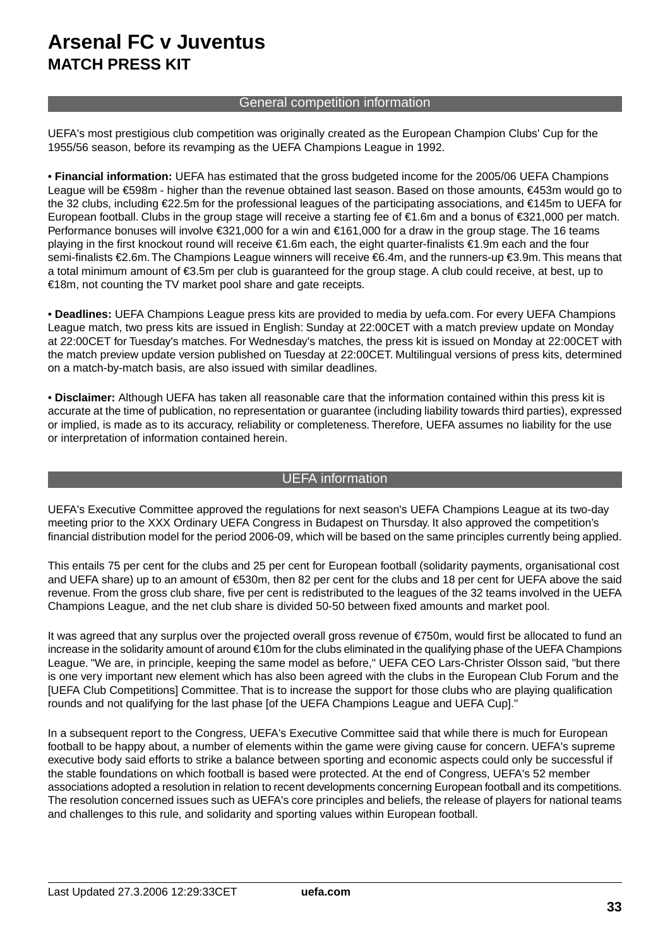## General competition information

UEFA's most prestigious club competition was originally created as the European Champion Clubs' Cup for the 1955/56 season, before its revamping as the UEFA Champions League in 1992.

• **Financial information:** UEFA has estimated that the gross budgeted income for the 2005/06 UEFA Champions League will be €598m - higher than the revenue obtained last season. Based on those amounts, €453m would go to the 32 clubs, including €22.5m for the professional leagues of the participating associations, and €145m to UEFA for European football. Clubs in the group stage will receive a starting fee of €1.6m and a bonus of €321,000 per match. Performance bonuses will involve €321,000 for a win and €161,000 for a draw in the group stage. The 16 teams playing in the first knockout round will receive €1.6m each, the eight quarter-finalists €1.9m each and the four semi-finalists €2.6m. The Champions League winners will receive €6.4m, and the runners-up €3.9m. This means that a total minimum amount of €3.5m per club is guaranteed for the group stage. A club could receive, at best, up to €18m, not counting the TV market pool share and gate receipts.

• **Deadlines:** UEFA Champions League press kits are provided to media by uefa.com. For every UEFA Champions League match, two press kits are issued in English: Sunday at 22:00CET with a match preview update on Monday at 22:00CET for Tuesday's matches. For Wednesday's matches, the press kit is issued on Monday at 22:00CET with the match preview update version published on Tuesday at 22:00CET. Multilingual versions of press kits, determined on a match-by-match basis, are also issued with similar deadlines.

• **Disclaimer:** Although UEFA has taken all reasonable care that the information contained within this press kit is accurate at the time of publication, no representation or guarantee (including liability towards third parties), expressed or implied, is made as to its accuracy, reliability or completeness. Therefore, UEFA assumes no liability for the use or interpretation of information contained herein.

## UEFA information

UEFA's Executive Committee approved the regulations for next season's UEFA Champions League at its two-day meeting prior to the XXX Ordinary UEFA Congress in Budapest on Thursday. It also approved the competition's financial distribution model for the period 2006-09, which will be based on the same principles currently being applied.

This entails 75 per cent for the clubs and 25 per cent for European football (solidarity payments, organisational cost and UEFA share) up to an amount of €530m, then 82 per cent for the clubs and 18 per cent for UEFA above the said revenue. From the gross club share, five per cent is redistributed to the leagues of the 32 teams involved in the UEFA Champions League, and the net club share is divided 50-50 between fixed amounts and market pool.

It was agreed that any surplus over the projected overall gross revenue of €750m, would first be allocated to fund an increase in the solidarity amount of around €10m for the clubs eliminated in the qualifying phase of the UEFA Champions League. "We are, in principle, keeping the same model as before," UEFA CEO Lars-Christer Olsson said, "but there is one very important new element which has also been agreed with the clubs in the European Club Forum and the [UEFA Club Competitions] Committee. That is to increase the support for those clubs who are playing qualification rounds and not qualifying for the last phase [of the UEFA Champions League and UEFA Cup]."

In a subsequent report to the Congress, UEFA's Executive Committee said that while there is much for European football to be happy about, a number of elements within the game were giving cause for concern. UEFA's supreme executive body said efforts to strike a balance between sporting and economic aspects could only be successful if the stable foundations on which football is based were protected. At the end of Congress, UEFA's 52 member associations adopted a resolution in relation to recent developments concerning European football and its competitions. The resolution concerned issues such as UEFA's core principles and beliefs, the release of players for national teams and challenges to this rule, and solidarity and sporting values within European football.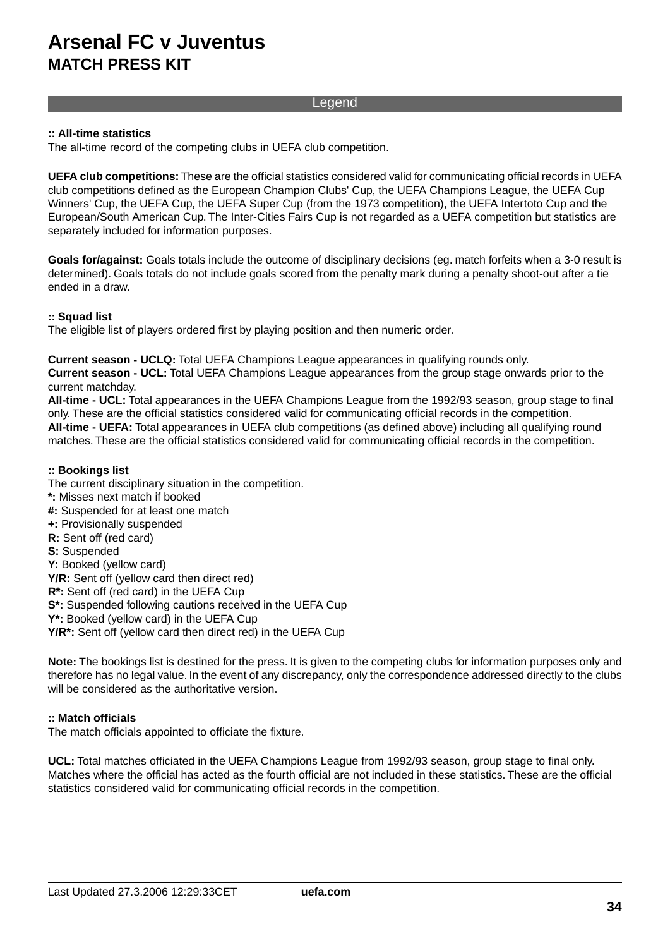### Legend

#### **:: All-time statistics**

The all-time record of the competing clubs in UEFA club competition.

**UEFA club competitions:** These are the official statistics considered valid for communicating official records in UEFA club competitions defined as the European Champion Clubs' Cup, the UEFA Champions League, the UEFA Cup Winners' Cup, the UEFA Cup, the UEFA Super Cup (from the 1973 competition), the UEFA Intertoto Cup and the European/South American Cup. The Inter-Cities Fairs Cup is not regarded as a UEFA competition but statistics are separately included for information purposes.

**Goals for/against:** Goals totals include the outcome of disciplinary decisions (eg. match forfeits when a 3-0 result is determined). Goals totals do not include goals scored from the penalty mark during a penalty shoot-out after a tie ended in a draw.

#### **:: Squad list**

The eligible list of players ordered first by playing position and then numeric order.

#### **Current season - UCLQ:** Total UEFA Champions League appearances in qualifying rounds only.

**Current season - UCL:** Total UEFA Champions League appearances from the group stage onwards prior to the current matchday.

**All-time - UCL:** Total appearances in the UEFA Champions League from the 1992/93 season, group stage to final only. These are the official statistics considered valid for communicating official records in the competition. **All-time - UEFA:** Total appearances in UEFA club competitions (as defined above) including all qualifying round matches. These are the official statistics considered valid for communicating official records in the competition.

#### **:: Bookings list**

The current disciplinary situation in the competition.

- **\*:** Misses next match if booked
- **#:** Suspended for at least one match
- **+:** Provisionally suspended
- **R:** Sent off (red card)
- **S:** Suspended
- **Y:** Booked (yellow card)
- **Y/R:** Sent off (yellow card then direct red)
- **R\*:** Sent off (red card) in the UEFA Cup
- **S\*:** Suspended following cautions received in the UEFA Cup
- **Y\*:** Booked (yellow card) in the UEFA Cup
- **Y/R\*:** Sent off (yellow card then direct red) in the UEFA Cup

**Note:** The bookings list is destined for the press. It is given to the competing clubs for information purposes only and therefore has no legal value. In the event of any discrepancy, only the correspondence addressed directly to the clubs will be considered as the authoritative version.

#### **:: Match officials**

The match officials appointed to officiate the fixture.

**UCL:** Total matches officiated in the UEFA Champions League from 1992/93 season, group stage to final only. Matches where the official has acted as the fourth official are not included in these statistics. These are the official statistics considered valid for communicating official records in the competition.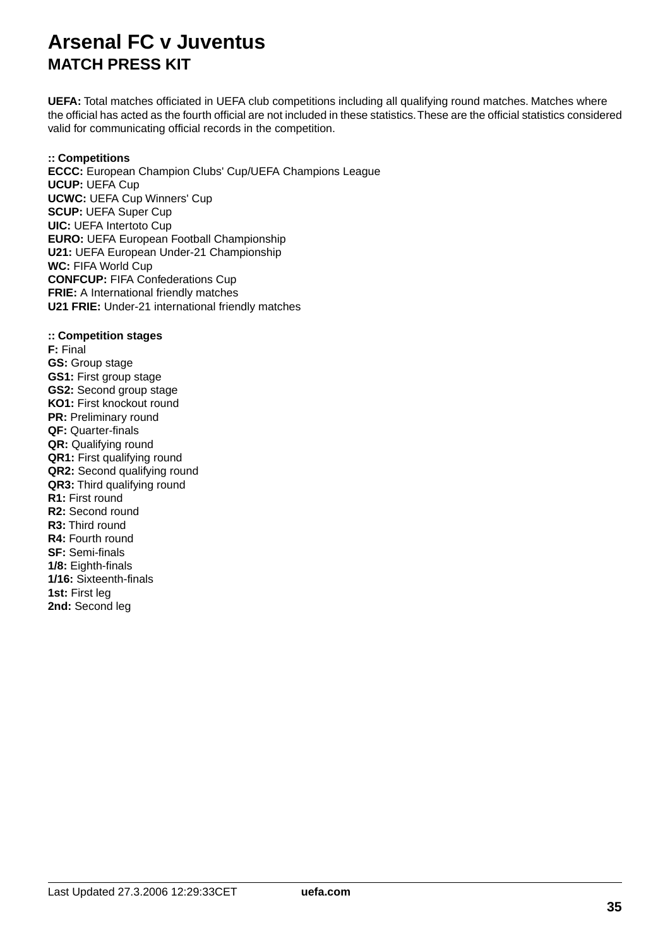**UEFA:** Total matches officiated in UEFA club competitions including all qualifying round matches. Matches where the official has acted as the fourth official are not included in these statistics.These are the official statistics considered valid for communicating official records in the competition.

### **:: Competitions**

**ECCC:** European Champion Clubs' Cup/UEFA Champions League **UCUP:** UEFA Cup **UCWC:** UEFA Cup Winners' Cup **SCUP:** UEFA Super Cup **UIC:** UEFA Intertoto Cup **EURO:** UEFA European Football Championship **U21:** UEFA European Under-21 Championship **WC:** FIFA World Cup **CONFCUP:** FIFA Confederations Cup **FRIE:** A International friendly matches **U21 FRIE:** Under-21 international friendly matches

#### **:: Competition stages**

**F:** Final **GS:** Group stage **GS1:** First group stage **GS2:** Second group stage **KO1:** First knockout round **PR:** Preliminary round **QF:** Quarter-finals **QR:** Qualifying round **QR1:** First qualifying round **QR2:** Second qualifying round **QR3:** Third qualifying round **R1:** First round **R2:** Second round **R3:** Third round **R4:** Fourth round **SF:** Semi-finals **1/8:** Eighth-finals **1/16:** Sixteenth-finals **1st:** First leg **2nd:** Second leg